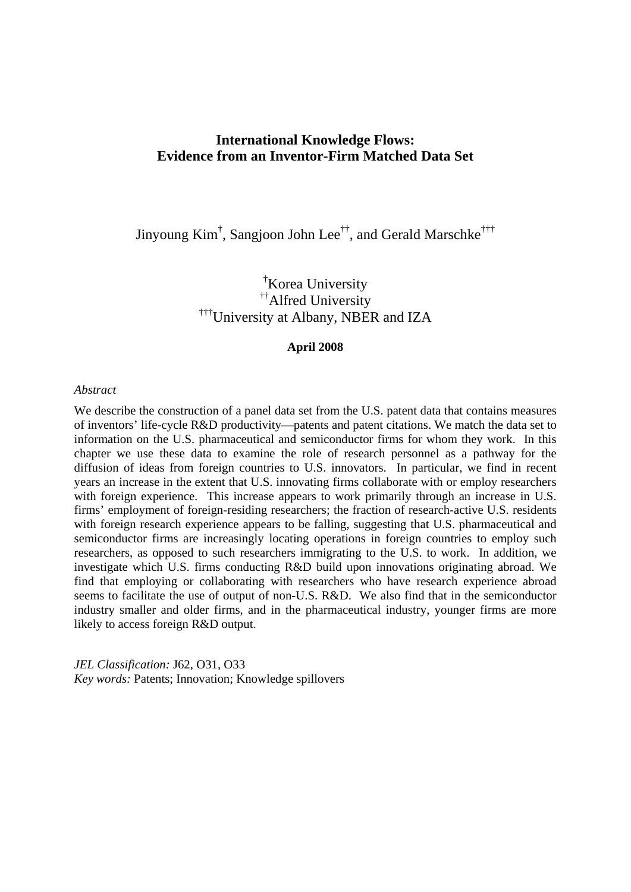## **International Knowledge Flows: Evidence from an Inventor-Firm Matched Data Set**

Jinyoung Kim† , Sangjoon John Lee††, and Gerald Marschke†††

## † Korea University ††Alfred University †††University at Albany, NBER and IZA

#### **April 2008**

#### *Abstract*

We describe the construction of a panel data set from the U.S. patent data that contains measures of inventors' life-cycle R&D productivity—patents and patent citations. We match the data set to information on the U.S. pharmaceutical and semiconductor firms for whom they work. In this chapter we use these data to examine the role of research personnel as a pathway for the diffusion of ideas from foreign countries to U.S. innovators. In particular, we find in recent years an increase in the extent that U.S. innovating firms collaborate with or employ researchers with foreign experience. This increase appears to work primarily through an increase in U.S. firms' employment of foreign-residing researchers; the fraction of research-active U.S. residents with foreign research experience appears to be falling, suggesting that U.S. pharmaceutical and semiconductor firms are increasingly locating operations in foreign countries to employ such researchers, as opposed to such researchers immigrating to the U.S. to work. In addition, we investigate which U.S. firms conducting R&D build upon innovations originating abroad. We find that employing or collaborating with researchers who have research experience abroad seems to facilitate the use of output of non-U.S. R&D. We also find that in the semiconductor industry smaller and older firms, and in the pharmaceutical industry, younger firms are more likely to access foreign R&D output.

*JEL Classification:* J62, O31, O33 *Key words:* Patents; Innovation; Knowledge spillovers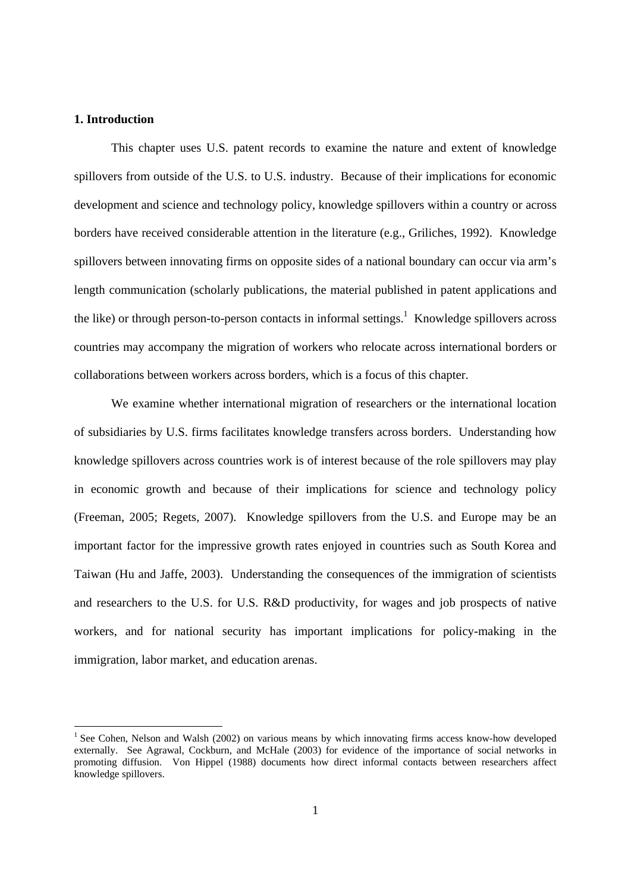#### **1. Introduction**

 $\overline{a}$ 

This chapter uses U.S. patent records to examine the nature and extent of knowledge spillovers from outside of the U.S. to U.S. industry. Because of their implications for economic development and science and technology policy, knowledge spillovers within a country or across borders have received considerable attention in the literature (e.g., Griliches, 1992). Knowledge spillovers between innovating firms on opposite sides of a national boundary can occur via arm's length communication (scholarly publications, the material published in patent applications and the like) or through person-to-person contacts in informal settings.<sup>1</sup> Knowledge spillovers across countries may accompany the migration of workers who relocate across international borders or collaborations between workers across borders, which is a focus of this chapter.

We examine whether international migration of researchers or the international location of subsidiaries by U.S. firms facilitates knowledge transfers across borders. Understanding how knowledge spillovers across countries work is of interest because of the role spillovers may play in economic growth and because of their implications for science and technology policy (Freeman, 2005; Regets, 2007). Knowledge spillovers from the U.S. and Europe may be an important factor for the impressive growth rates enjoyed in countries such as South Korea and Taiwan (Hu and Jaffe, 2003). Understanding the consequences of the immigration of scientists and researchers to the U.S. for U.S. R&D productivity, for wages and job prospects of native workers, and for national security has important implications for policy-making in the immigration, labor market, and education arenas.

 $1$  See Cohen, Nelson and Walsh (2002) on various means by which innovating firms access know-how developed externally. See Agrawal, Cockburn, and McHale (2003) for evidence of the importance of social networks in promoting diffusion. Von Hippel (1988) documents how direct informal contacts between researchers affect knowledge spillovers.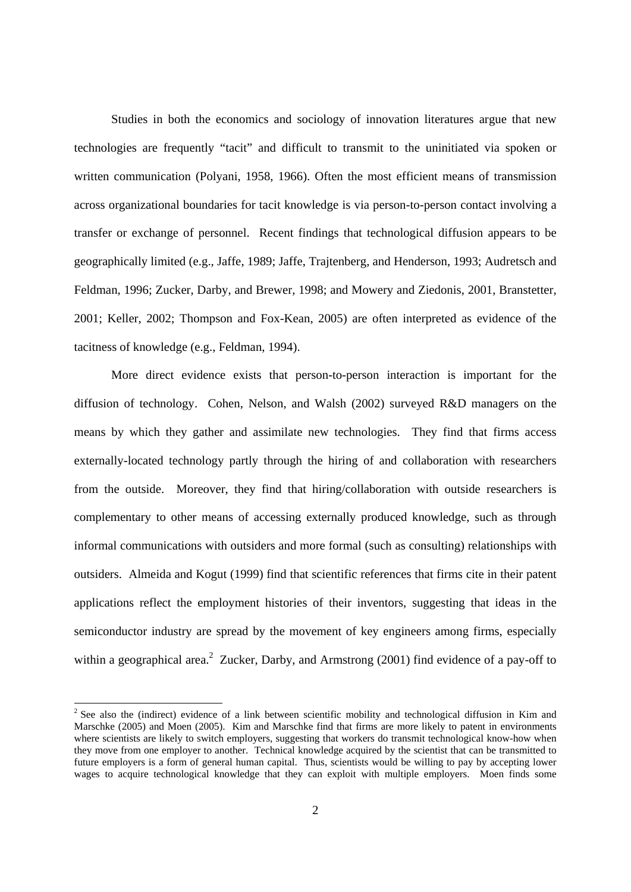Studies in both the economics and sociology of innovation literatures argue that new technologies are frequently "tacit" and difficult to transmit to the uninitiated via spoken or written communication (Polyani, 1958, 1966). Often the most efficient means of transmission across organizational boundaries for tacit knowledge is via person-to-person contact involving a transfer or exchange of personnel. Recent findings that technological diffusion appears to be geographically limited (e.g., Jaffe, 1989; Jaffe, Trajtenberg, and Henderson, 1993; Audretsch and Feldman, 1996; Zucker, Darby, and Brewer, 1998; and Mowery and Ziedonis, 2001, Branstetter, 2001; Keller, 2002; Thompson and Fox-Kean, 2005) are often interpreted as evidence of the tacitness of knowledge (e.g., Feldman, 1994).

More direct evidence exists that person-to-person interaction is important for the diffusion of technology. Cohen, Nelson, and Walsh (2002) surveyed R&D managers on the means by which they gather and assimilate new technologies. They find that firms access externally-located technology partly through the hiring of and collaboration with researchers from the outside. Moreover, they find that hiring/collaboration with outside researchers is complementary to other means of accessing externally produced knowledge, such as through informal communications with outsiders and more formal (such as consulting) relationships with outsiders. Almeida and Kogut (1999) find that scientific references that firms cite in their patent applications reflect the employment histories of their inventors, suggesting that ideas in the semiconductor industry are spread by the movement of key engineers among firms, especially within a geographical area.<sup>2</sup> Zucker, Darby, and Armstrong  $(2001)$  find evidence of a pay-off to

-

 $2^2$  See also the (indirect) evidence of a link between scientific mobility and technological diffusion in Kim and Marschke (2005) and Moen (2005). Kim and Marschke find that firms are more likely to patent in environments where scientists are likely to switch employers, suggesting that workers do transmit technological know-how when they move from one employer to another. Technical knowledge acquired by the scientist that can be transmitted to future employers is a form of general human capital. Thus, scientists would be willing to pay by accepting lower wages to acquire technological knowledge that they can exploit with multiple employers. Moen finds some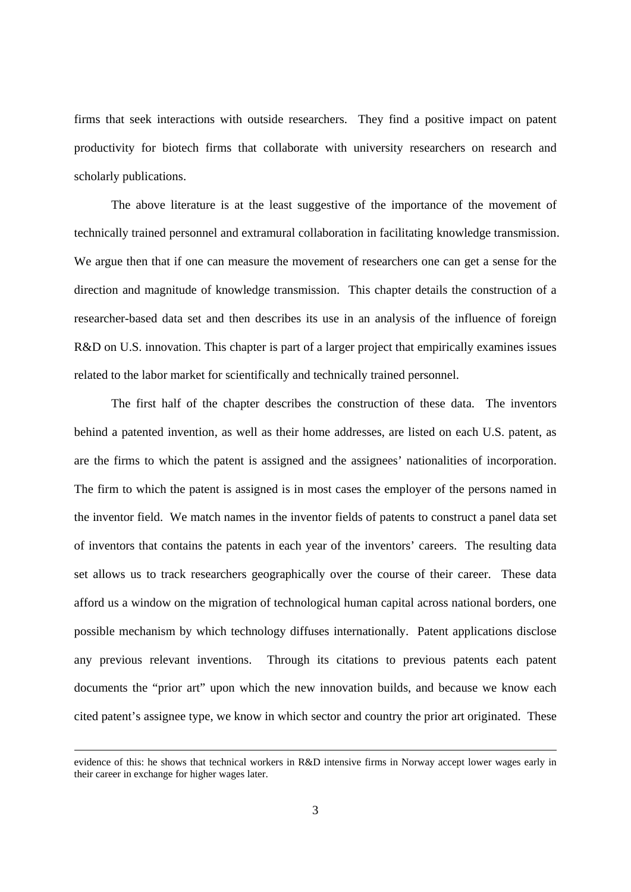firms that seek interactions with outside researchers. They find a positive impact on patent productivity for biotech firms that collaborate with university researchers on research and scholarly publications.

The above literature is at the least suggestive of the importance of the movement of technically trained personnel and extramural collaboration in facilitating knowledge transmission. We argue then that if one can measure the movement of researchers one can get a sense for the direction and magnitude of knowledge transmission. This chapter details the construction of a researcher-based data set and then describes its use in an analysis of the influence of foreign R&D on U.S. innovation. This chapter is part of a larger project that empirically examines issues related to the labor market for scientifically and technically trained personnel.

The first half of the chapter describes the construction of these data. The inventors behind a patented invention, as well as their home addresses, are listed on each U.S. patent, as are the firms to which the patent is assigned and the assignees' nationalities of incorporation. The firm to which the patent is assigned is in most cases the employer of the persons named in the inventor field. We match names in the inventor fields of patents to construct a panel data set of inventors that contains the patents in each year of the inventors' careers. The resulting data set allows us to track researchers geographically over the course of their career. These data afford us a window on the migration of technological human capital across national borders, one possible mechanism by which technology diffuses internationally. Patent applications disclose any previous relevant inventions. Through its citations to previous patents each patent documents the "prior art" upon which the new innovation builds, and because we know each cited patent's assignee type, we know in which sector and country the prior art originated. These

evidence of this: he shows that technical workers in R&D intensive firms in Norway accept lower wages early in their career in exchange for higher wages later.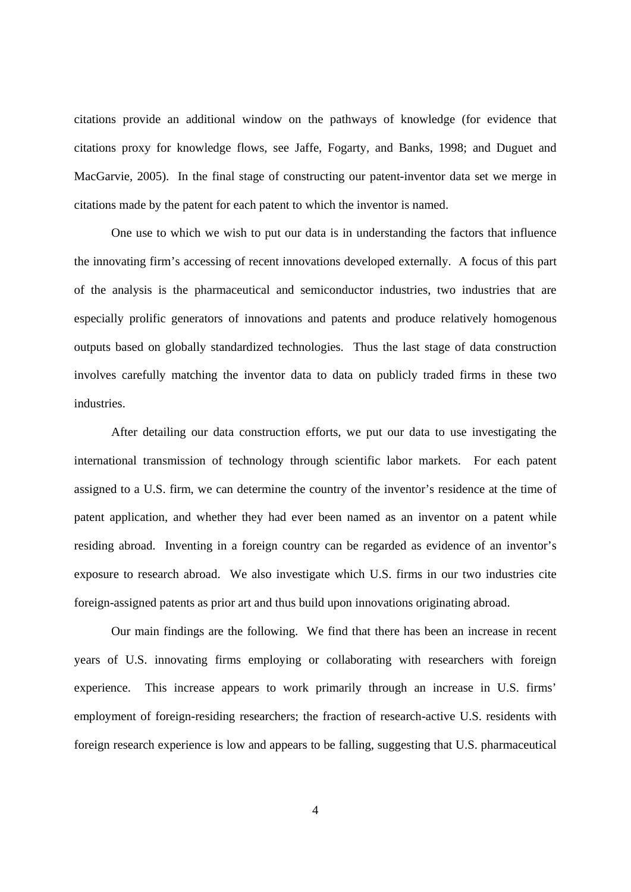citations provide an additional window on the pathways of knowledge (for evidence that citations proxy for knowledge flows, see Jaffe, Fogarty, and Banks, 1998; and Duguet and MacGarvie, 2005). In the final stage of constructing our patent-inventor data set we merge in citations made by the patent for each patent to which the inventor is named.

One use to which we wish to put our data is in understanding the factors that influence the innovating firm's accessing of recent innovations developed externally. A focus of this part of the analysis is the pharmaceutical and semiconductor industries, two industries that are especially prolific generators of innovations and patents and produce relatively homogenous outputs based on globally standardized technologies. Thus the last stage of data construction involves carefully matching the inventor data to data on publicly traded firms in these two industries.

After detailing our data construction efforts, we put our data to use investigating the international transmission of technology through scientific labor markets. For each patent assigned to a U.S. firm, we can determine the country of the inventor's residence at the time of patent application, and whether they had ever been named as an inventor on a patent while residing abroad. Inventing in a foreign country can be regarded as evidence of an inventor's exposure to research abroad. We also investigate which U.S. firms in our two industries cite foreign-assigned patents as prior art and thus build upon innovations originating abroad.

Our main findings are the following. We find that there has been an increase in recent years of U.S. innovating firms employing or collaborating with researchers with foreign experience. This increase appears to work primarily through an increase in U.S. firms' employment of foreign-residing researchers; the fraction of research-active U.S. residents with foreign research experience is low and appears to be falling, suggesting that U.S. pharmaceutical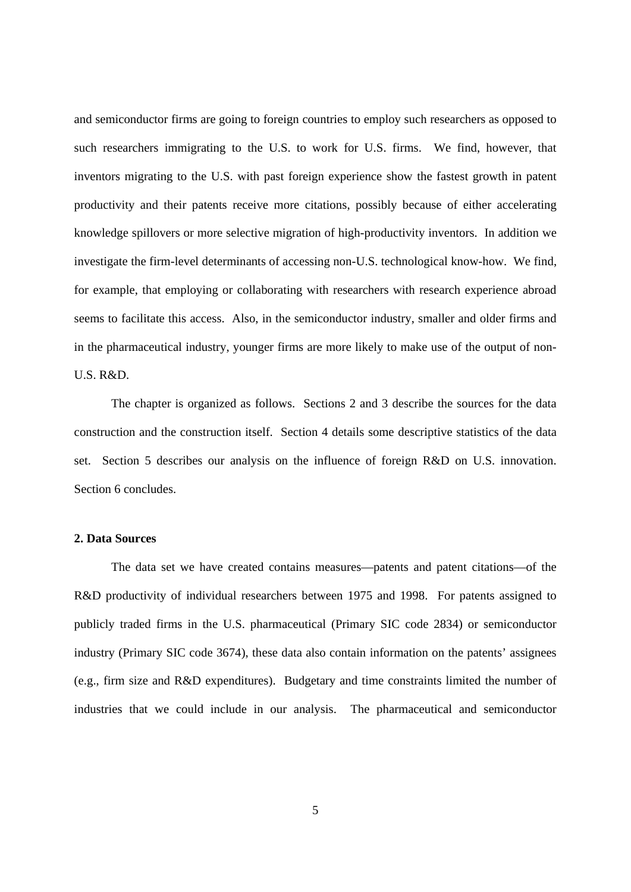and semiconductor firms are going to foreign countries to employ such researchers as opposed to such researchers immigrating to the U.S. to work for U.S. firms. We find, however, that inventors migrating to the U.S. with past foreign experience show the fastest growth in patent productivity and their patents receive more citations, possibly because of either accelerating knowledge spillovers or more selective migration of high-productivity inventors. In addition we investigate the firm-level determinants of accessing non-U.S. technological know-how. We find, for example, that employing or collaborating with researchers with research experience abroad seems to facilitate this access. Also, in the semiconductor industry, smaller and older firms and in the pharmaceutical industry, younger firms are more likely to make use of the output of non-U.S. R&D.

The chapter is organized as follows. Sections 2 and 3 describe the sources for the data construction and the construction itself. Section 4 details some descriptive statistics of the data set. Section 5 describes our analysis on the influence of foreign R&D on U.S. innovation. Section 6 concludes.

#### **2. Data Sources**

The data set we have created contains measures—patents and patent citations—of the R&D productivity of individual researchers between 1975 and 1998. For patents assigned to publicly traded firms in the U.S. pharmaceutical (Primary SIC code 2834) or semiconductor industry (Primary SIC code 3674), these data also contain information on the patents' assignees (e.g., firm size and R&D expenditures). Budgetary and time constraints limited the number of industries that we could include in our analysis. The pharmaceutical and semiconductor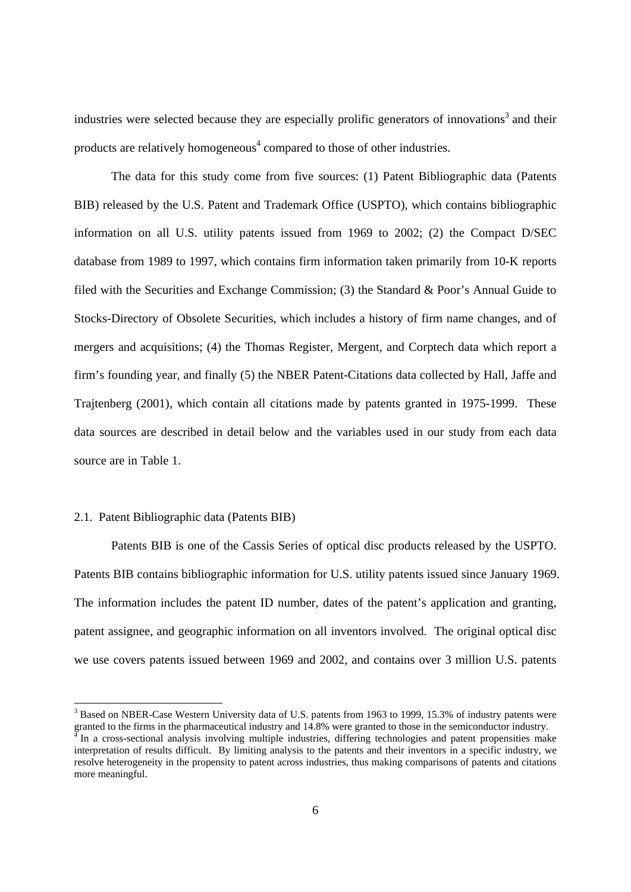industries were selected because they are especially prolific generators of innovations<sup>3</sup> and their products are relatively homogeneous<sup>4</sup> compared to those of other industries.

The data for this study come from five sources: (1) Patent Bibliographic data (Patents BIB) released by the U.S. Patent and Trademark Office (USPTO), which contains bibliographic information on all U.S. utility patents issued from 1969 to 2002; (2) the Compact D/SEC database from 1989 to 1997, which contains firm information taken primarily from 10-K reports filed with the Securities and Exchange Commission; (3) the Standard & Poor's Annual Guide to Stocks-Directory of Obsolete Securities, which includes a history of firm name changes, and of mergers and acquisitions; (4) the Thomas Register, Mergent, and Corptech data which report a firm's founding year, and finally (5) the NBER Patent-Citations data collected by Hall, Jaffe and Trajtenberg (2001), which contain all citations made by patents granted in 1975-1999. These data sources are described in detail below and the variables used in our study from each data source are in Table 1.

#### 2.1. Patent Bibliographic data (Patents BIB)

-

 Patents BIB is one of the Cassis Series of optical disc products released by the USPTO. Patents BIB contains bibliographic information for U.S. utility patents issued since January 1969. The information includes the patent ID number, dates of the patent's application and granting, patent assignee, and geographic information on all inventors involved. The original optical disc we use covers patents issued between 1969 and 2002, and contains over 3 million U.S. patents

<sup>&</sup>lt;sup>3</sup> Based on NBER-Case Western University data of U.S. patents from 1963 to 1999, 15.3% of industry patents were granted to the firms in the pharmaceutical industry and 14.8% were granted to those in the semiconductor industry.<br><sup>4</sup> In a grass sectional analysis involving multiple industries, differing technologies and netart proposit

In a cross-sectional analysis involving multiple industries, differing technologies and patent propensities make interpretation of results difficult. By limiting analysis to the patents and their inventors in a specific industry, we resolve heterogeneity in the propensity to patent across industries, thus making comparisons of patents and citations more meaningful.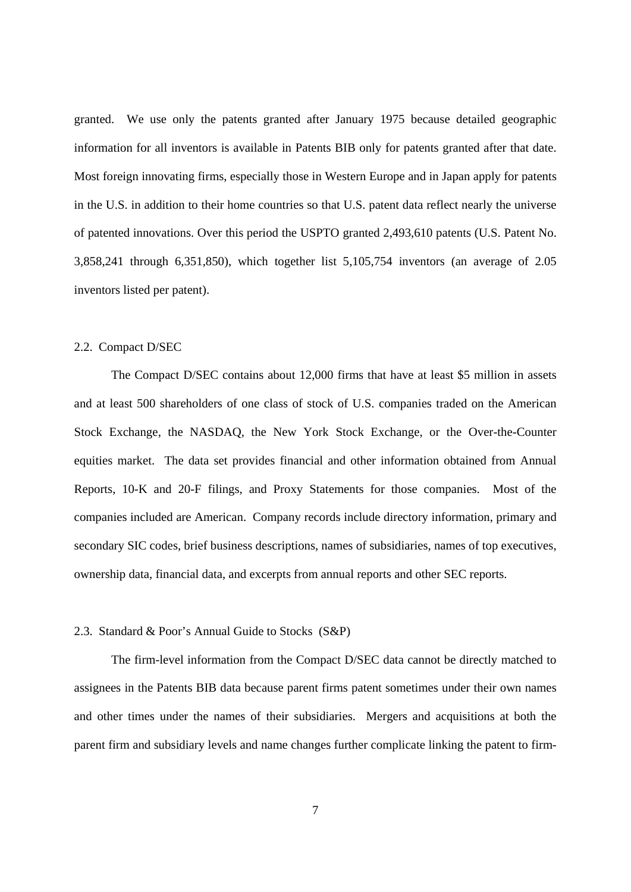granted. We use only the patents granted after January 1975 because detailed geographic information for all inventors is available in Patents BIB only for patents granted after that date. Most foreign innovating firms, especially those in Western Europe and in Japan apply for patents in the U.S. in addition to their home countries so that U.S. patent data reflect nearly the universe of patented innovations. Over this period the USPTO granted 2,493,610 patents (U.S. Patent No. 3,858,241 through 6,351,850), which together list 5,105,754 inventors (an average of 2.05 inventors listed per patent).

#### 2.2. Compact D/SEC

 The Compact D/SEC contains about 12,000 firms that have at least \$5 million in assets and at least 500 shareholders of one class of stock of U.S. companies traded on the American Stock Exchange, the NASDAQ, the New York Stock Exchange, or the Over-the-Counter equities market. The data set provides financial and other information obtained from Annual Reports, 10-K and 20-F filings, and Proxy Statements for those companies. Most of the companies included are American. Company records include directory information, primary and secondary SIC codes, brief business descriptions, names of subsidiaries, names of top executives, ownership data, financial data, and excerpts from annual reports and other SEC reports.

#### 2.3. Standard & Poor's Annual Guide to Stocks (S&P)

 The firm-level information from the Compact D/SEC data cannot be directly matched to assignees in the Patents BIB data because parent firms patent sometimes under their own names and other times under the names of their subsidiaries. Mergers and acquisitions at both the parent firm and subsidiary levels and name changes further complicate linking the patent to firm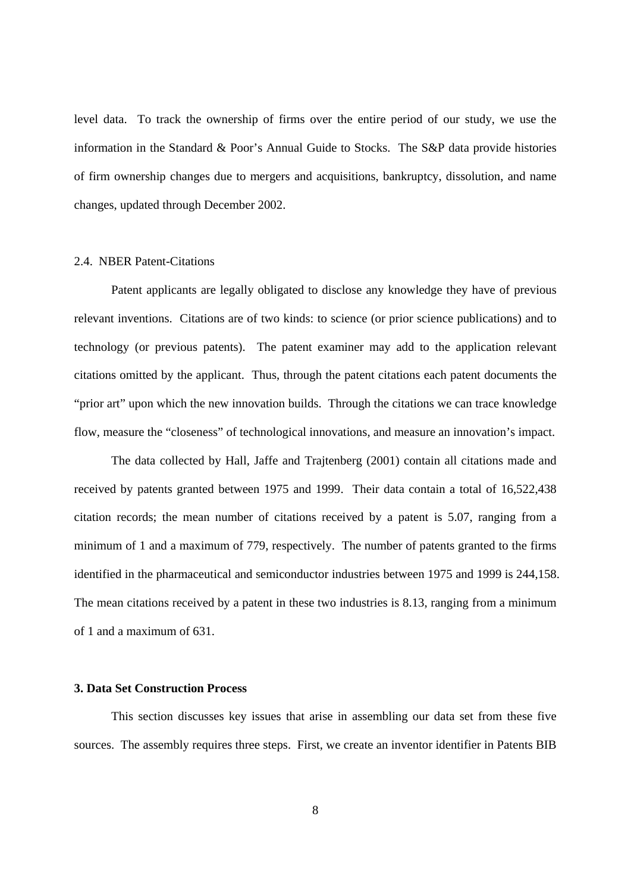level data. To track the ownership of firms over the entire period of our study, we use the information in the Standard & Poor's Annual Guide to Stocks. The S&P data provide histories of firm ownership changes due to mergers and acquisitions, bankruptcy, dissolution, and name changes, updated through December 2002.

#### 2.4. NBER Patent-Citations

 Patent applicants are legally obligated to disclose any knowledge they have of previous relevant inventions. Citations are of two kinds: to science (or prior science publications) and to technology (or previous patents). The patent examiner may add to the application relevant citations omitted by the applicant. Thus, through the patent citations each patent documents the "prior art" upon which the new innovation builds. Through the citations we can trace knowledge flow, measure the "closeness" of technological innovations, and measure an innovation's impact.

 The data collected by Hall, Jaffe and Trajtenberg (2001) contain all citations made and received by patents granted between 1975 and 1999. Their data contain a total of 16,522,438 citation records; the mean number of citations received by a patent is 5.07, ranging from a minimum of 1 and a maximum of 779, respectively. The number of patents granted to the firms identified in the pharmaceutical and semiconductor industries between 1975 and 1999 is 244,158. The mean citations received by a patent in these two industries is 8.13, ranging from a minimum of 1 and a maximum of 631.

#### **3. Data Set Construction Process**

This section discusses key issues that arise in assembling our data set from these five sources. The assembly requires three steps. First, we create an inventor identifier in Patents BIB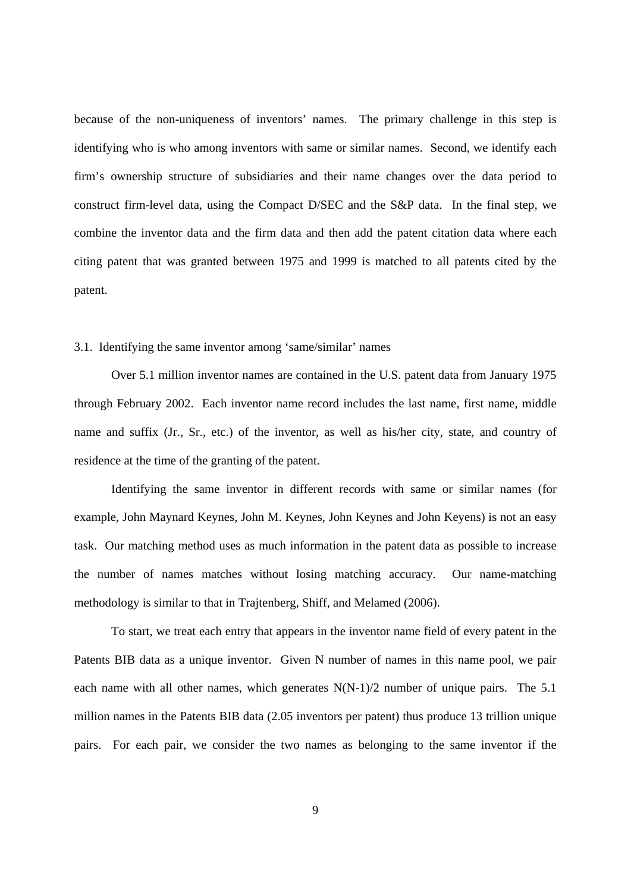because of the non-uniqueness of inventors' names. The primary challenge in this step is identifying who is who among inventors with same or similar names. Second, we identify each firm's ownership structure of subsidiaries and their name changes over the data period to construct firm-level data, using the Compact D/SEC and the S&P data. In the final step, we combine the inventor data and the firm data and then add the patent citation data where each citing patent that was granted between 1975 and 1999 is matched to all patents cited by the patent.

### 3.1. Identifying the same inventor among 'same/similar' names

Over 5.1 million inventor names are contained in the U.S. patent data from January 1975 through February 2002. Each inventor name record includes the last name, first name, middle name and suffix (Jr., Sr., etc.) of the inventor, as well as his/her city, state, and country of residence at the time of the granting of the patent.

Identifying the same inventor in different records with same or similar names (for example, John Maynard Keynes, John M. Keynes, John Keynes and John Keyens) is not an easy task. Our matching method uses as much information in the patent data as possible to increase the number of names matches without losing matching accuracy. Our name-matching methodology is similar to that in Trajtenberg, Shiff, and Melamed (2006).

To start, we treat each entry that appears in the inventor name field of every patent in the Patents BIB data as a unique inventor. Given N number of names in this name pool, we pair each name with all other names, which generates N(N-1)/2 number of unique pairs. The 5.1 million names in the Patents BIB data (2.05 inventors per patent) thus produce 13 trillion unique pairs. For each pair, we consider the two names as belonging to the same inventor if the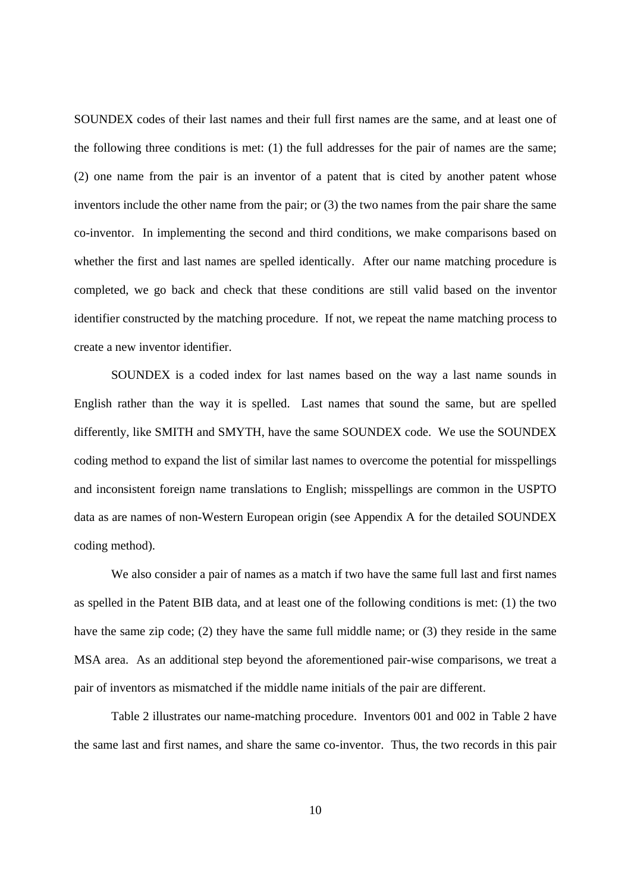SOUNDEX codes of their last names and their full first names are the same, and at least one of the following three conditions is met: (1) the full addresses for the pair of names are the same; (2) one name from the pair is an inventor of a patent that is cited by another patent whose inventors include the other name from the pair; or (3) the two names from the pair share the same co-inventor. In implementing the second and third conditions, we make comparisons based on whether the first and last names are spelled identically. After our name matching procedure is completed, we go back and check that these conditions are still valid based on the inventor identifier constructed by the matching procedure. If not, we repeat the name matching process to create a new inventor identifier.

SOUNDEX is a coded index for last names based on the way a last name sounds in English rather than the way it is spelled. Last names that sound the same, but are spelled differently, like SMITH and SMYTH, have the same SOUNDEX code. We use the SOUNDEX coding method to expand the list of similar last names to overcome the potential for misspellings and inconsistent foreign name translations to English; misspellings are common in the USPTO data as are names of non-Western European origin (see Appendix A for the detailed SOUNDEX coding method).

We also consider a pair of names as a match if two have the same full last and first names as spelled in the Patent BIB data, and at least one of the following conditions is met: (1) the two have the same zip code; (2) they have the same full middle name; or (3) they reside in the same MSA area. As an additional step beyond the aforementioned pair-wise comparisons, we treat a pair of inventors as mismatched if the middle name initials of the pair are different.

Table 2 illustrates our name-matching procedure. Inventors 001 and 002 in Table 2 have the same last and first names, and share the same co-inventor. Thus, the two records in this pair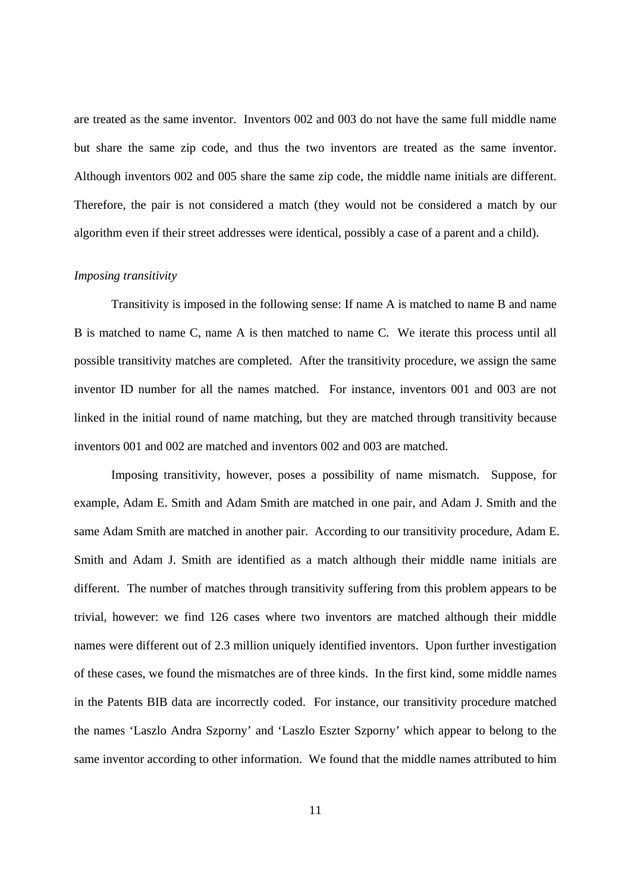are treated as the same inventor. Inventors 002 and 003 do not have the same full middle name but share the same zip code, and thus the two inventors are treated as the same inventor. Although inventors 002 and 005 share the same zip code, the middle name initials are different. Therefore, the pair is not considered a match (they would not be considered a match by our algorithm even if their street addresses were identical, possibly a case of a parent and a child).

#### *Imposing transitivity*

Transitivity is imposed in the following sense: If name A is matched to name B and name B is matched to name C, name A is then matched to name C. We iterate this process until all possible transitivity matches are completed. After the transitivity procedure, we assign the same inventor ID number for all the names matched. For instance, inventors 001 and 003 are not linked in the initial round of name matching, but they are matched through transitivity because inventors 001 and 002 are matched and inventors 002 and 003 are matched.

Imposing transitivity, however, poses a possibility of name mismatch. Suppose, for example, Adam E. Smith and Adam Smith are matched in one pair, and Adam J. Smith and the same Adam Smith are matched in another pair. According to our transitivity procedure, Adam E. Smith and Adam J. Smith are identified as a match although their middle name initials are different. The number of matches through transitivity suffering from this problem appears to be trivial, however: we find 126 cases where two inventors are matched although their middle names were different out of 2.3 million uniquely identified inventors. Upon further investigation of these cases, we found the mismatches are of three kinds. In the first kind, some middle names in the Patents BIB data are incorrectly coded. For instance, our transitivity procedure matched the names 'Laszlo Andra Szporny' and 'Laszlo Eszter Szporny' which appear to belong to the same inventor according to other information. We found that the middle names attributed to him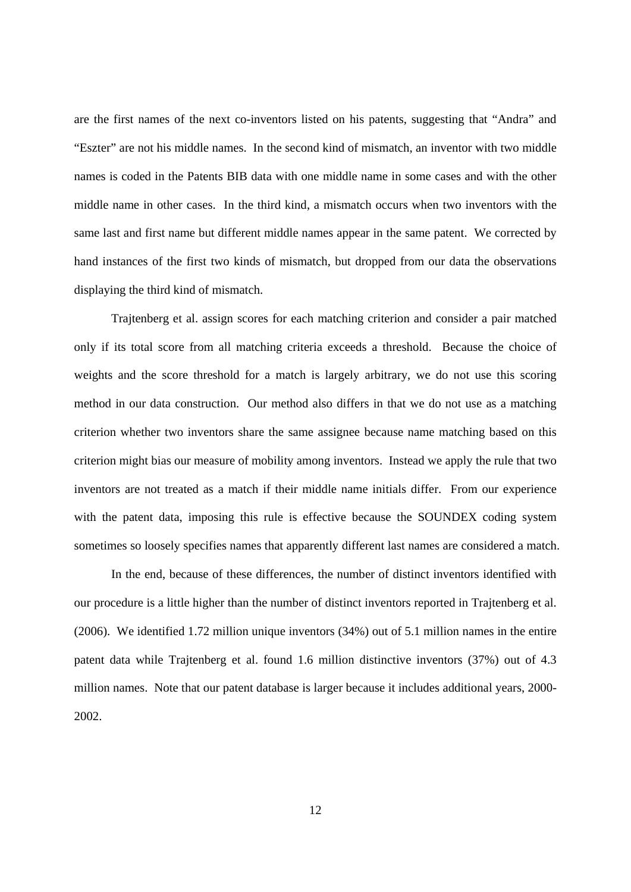are the first names of the next co-inventors listed on his patents, suggesting that "Andra" and "Eszter" are not his middle names. In the second kind of mismatch, an inventor with two middle names is coded in the Patents BIB data with one middle name in some cases and with the other middle name in other cases. In the third kind, a mismatch occurs when two inventors with the same last and first name but different middle names appear in the same patent. We corrected by hand instances of the first two kinds of mismatch, but dropped from our data the observations displaying the third kind of mismatch.

Trajtenberg et al. assign scores for each matching criterion and consider a pair matched only if its total score from all matching criteria exceeds a threshold. Because the choice of weights and the score threshold for a match is largely arbitrary, we do not use this scoring method in our data construction. Our method also differs in that we do not use as a matching criterion whether two inventors share the same assignee because name matching based on this criterion might bias our measure of mobility among inventors. Instead we apply the rule that two inventors are not treated as a match if their middle name initials differ. From our experience with the patent data, imposing this rule is effective because the SOUNDEX coding system sometimes so loosely specifies names that apparently different last names are considered a match.

In the end, because of these differences, the number of distinct inventors identified with our procedure is a little higher than the number of distinct inventors reported in Trajtenberg et al. (2006). We identified 1.72 million unique inventors (34%) out of 5.1 million names in the entire patent data while Trajtenberg et al. found 1.6 million distinctive inventors (37%) out of 4.3 million names. Note that our patent database is larger because it includes additional years, 2000- 2002.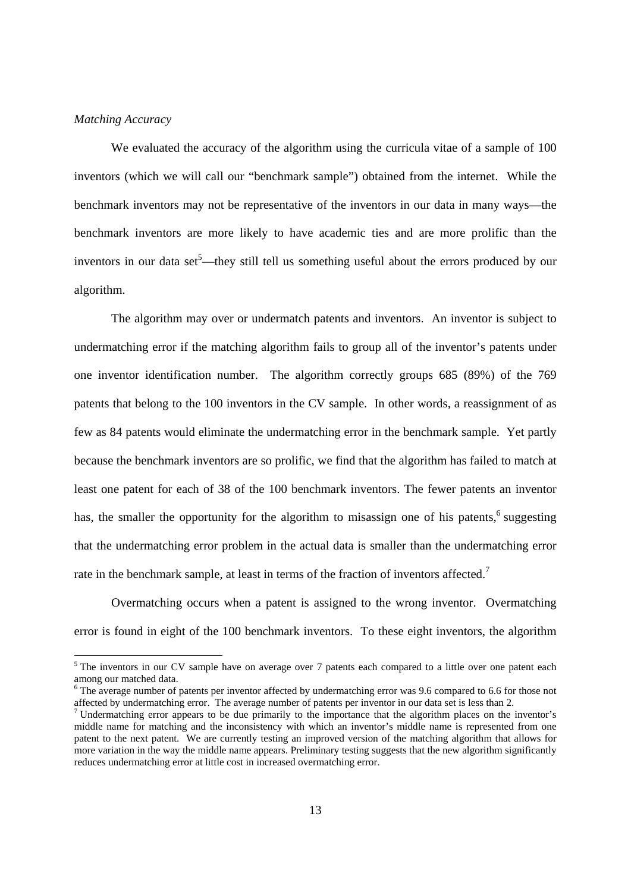#### *Matching Accuracy*

1

We evaluated the accuracy of the algorithm using the curricula vitae of a sample of 100 inventors (which we will call our "benchmark sample") obtained from the internet. While the benchmark inventors may not be representative of the inventors in our data in many ways—the benchmark inventors are more likely to have academic ties and are more prolific than the inventors in our data set<sup>5</sup>—they still tell us something useful about the errors produced by our algorithm.

The algorithm may over or undermatch patents and inventors. An inventor is subject to undermatching error if the matching algorithm fails to group all of the inventor's patents under one inventor identification number. The algorithm correctly groups 685 (89%) of the 769 patents that belong to the 100 inventors in the CV sample. In other words, a reassignment of as few as 84 patents would eliminate the undermatching error in the benchmark sample. Yet partly because the benchmark inventors are so prolific, we find that the algorithm has failed to match at least one patent for each of 38 of the 100 benchmark inventors. The fewer patents an inventor has, the smaller the opportunity for the algorithm to misassign one of his patents,<sup>6</sup> suggesting that the undermatching error problem in the actual data is smaller than the undermatching error rate in the benchmark sample, at least in terms of the fraction of inventors affected.<sup>7</sup>

Overmatching occurs when a patent is assigned to the wrong inventor. Overmatching error is found in eight of the 100 benchmark inventors. To these eight inventors, the algorithm

 $<sup>5</sup>$  The inventors in our CV sample have on average over 7 patents each compared to a little over one patent each</sup> among our matched data.

<sup>&</sup>lt;sup>6</sup> The average number of patents per inventor affected by undermatching error was 9.6 compared to 6.6 for those not affected by undermatching error. The average number of patents per inventor in our data set is less than 2.

<sup>&</sup>lt;sup>7</sup> Undermatching error appears to be due primarily to the importance that the algorithm places on the inventor's middle name for matching and the inconsistency with which an inventor's middle name is represented from one patent to the next patent. We are currently testing an improved version of the matching algorithm that allows for more variation in the way the middle name appears. Preliminary testing suggests that the new algorithm significantly reduces undermatching error at little cost in increased overmatching error.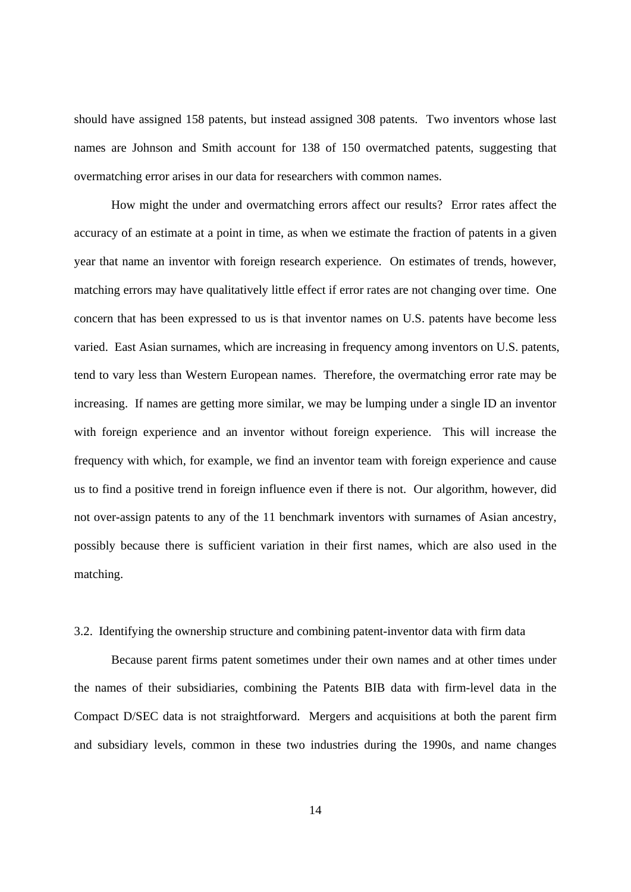should have assigned 158 patents, but instead assigned 308 patents. Two inventors whose last names are Johnson and Smith account for 138 of 150 overmatched patents, suggesting that overmatching error arises in our data for researchers with common names.

How might the under and overmatching errors affect our results? Error rates affect the accuracy of an estimate at a point in time, as when we estimate the fraction of patents in a given year that name an inventor with foreign research experience. On estimates of trends, however, matching errors may have qualitatively little effect if error rates are not changing over time. One concern that has been expressed to us is that inventor names on U.S. patents have become less varied. East Asian surnames, which are increasing in frequency among inventors on U.S. patents, tend to vary less than Western European names. Therefore, the overmatching error rate may be increasing. If names are getting more similar, we may be lumping under a single ID an inventor with foreign experience and an inventor without foreign experience. This will increase the frequency with which, for example, we find an inventor team with foreign experience and cause us to find a positive trend in foreign influence even if there is not. Our algorithm, however, did not over-assign patents to any of the 11 benchmark inventors with surnames of Asian ancestry, possibly because there is sufficient variation in their first names, which are also used in the matching.

#### 3.2. Identifying the ownership structure and combining patent-inventor data with firm data

Because parent firms patent sometimes under their own names and at other times under the names of their subsidiaries, combining the Patents BIB data with firm-level data in the Compact D/SEC data is not straightforward. Mergers and acquisitions at both the parent firm and subsidiary levels, common in these two industries during the 1990s, and name changes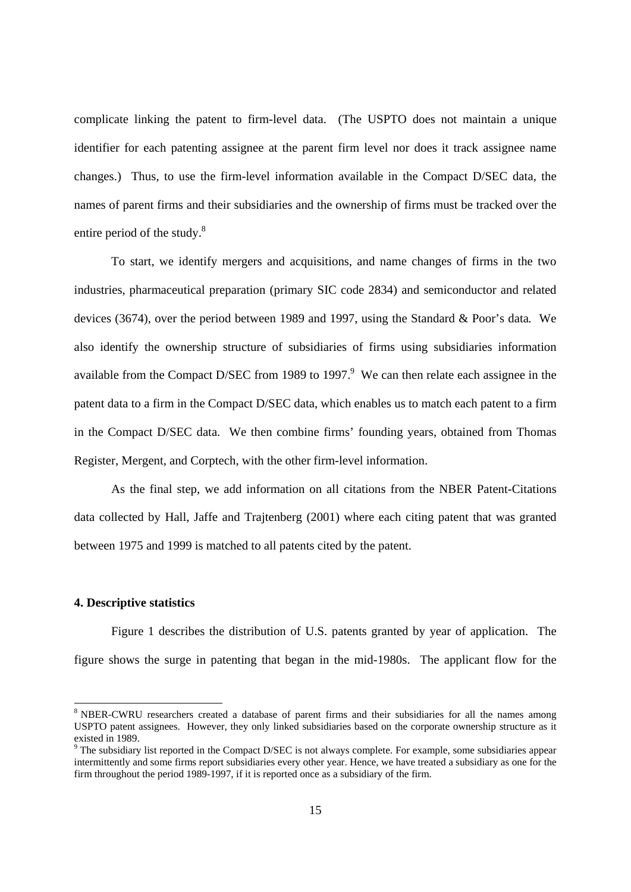complicate linking the patent to firm-level data. (The USPTO does not maintain a unique identifier for each patenting assignee at the parent firm level nor does it track assignee name changes.) Thus, to use the firm-level information available in the Compact D/SEC data, the names of parent firms and their subsidiaries and the ownership of firms must be tracked over the entire period of the study.<sup>8</sup>

To start, we identify mergers and acquisitions, and name changes of firms in the two industries, pharmaceutical preparation (primary SIC code 2834) and semiconductor and related devices (3674), over the period between 1989 and 1997, using the Standard & Poor's data*.* We also identify the ownership structure of subsidiaries of firms using subsidiaries information available from the Compact D/SEC from 1989 to 1997.<sup>9</sup> We can then relate each assignee in the patent data to a firm in the Compact D/SEC data, which enables us to match each patent to a firm in the Compact D/SEC data. We then combine firms' founding years, obtained from Thomas Register, Mergent, and Corptech, with the other firm-level information.

As the final step, we add information on all citations from the NBER Patent-Citations data collected by Hall, Jaffe and Trajtenberg (2001) where each citing patent that was granted between 1975 and 1999 is matched to all patents cited by the patent.

#### **4. Descriptive statistics**

-

Figure 1 describes the distribution of U.S. patents granted by year of application. The figure shows the surge in patenting that began in the mid-1980s. The applicant flow for the

<sup>&</sup>lt;sup>8</sup> NBER-CWRU researchers created a database of parent firms and their subsidiaries for all the names among USPTO patent assignees. However, they only linked subsidiaries based on the corporate ownership structure as it existed in 1989.

<sup>&</sup>lt;sup>9</sup> The subsidiary list reported in the Compact D/SEC is not always complete. For example, some subsidiaries appear intermittently and some firms report subsidiaries every other year. Hence, we have treated a subsidiary as one for the firm throughout the period 1989-1997, if it is reported once as a subsidiary of the firm.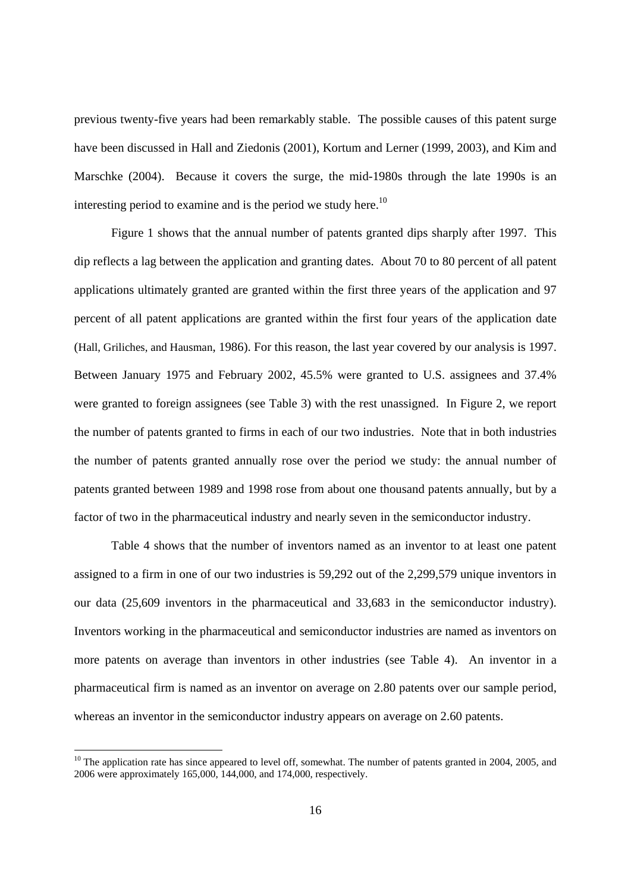previous twenty-five years had been remarkably stable. The possible causes of this patent surge have been discussed in Hall and Ziedonis (2001), Kortum and Lerner (1999, 2003), and Kim and Marschke (2004). Because it covers the surge, the mid-1980s through the late 1990s is an interesting period to examine and is the period we study here.<sup>10</sup>

Figure 1 shows that the annual number of patents granted dips sharply after 1997. This dip reflects a lag between the application and granting dates. About 70 to 80 percent of all patent applications ultimately granted are granted within the first three years of the application and 97 percent of all patent applications are granted within the first four years of the application date (Hall, Griliches, and Hausman, 1986). For this reason, the last year covered by our analysis is 1997. Between January 1975 and February 2002, 45.5% were granted to U.S. assignees and 37.4% were granted to foreign assignees (see Table 3) with the rest unassigned. In Figure 2, we report the number of patents granted to firms in each of our two industries. Note that in both industries the number of patents granted annually rose over the period we study: the annual number of patents granted between 1989 and 1998 rose from about one thousand patents annually, but by a factor of two in the pharmaceutical industry and nearly seven in the semiconductor industry.

Table 4 shows that the number of inventors named as an inventor to at least one patent assigned to a firm in one of our two industries is 59,292 out of the 2,299,579 unique inventors in our data (25,609 inventors in the pharmaceutical and 33,683 in the semiconductor industry). Inventors working in the pharmaceutical and semiconductor industries are named as inventors on more patents on average than inventors in other industries (see Table 4). An inventor in a pharmaceutical firm is named as an inventor on average on 2.80 patents over our sample period, whereas an inventor in the semiconductor industry appears on average on 2.60 patents.

-

<sup>&</sup>lt;sup>10</sup> The application rate has since appeared to level off, somewhat. The number of patents granted in 2004, 2005, and 2006 were approximately 165,000, 144,000, and 174,000, respectively.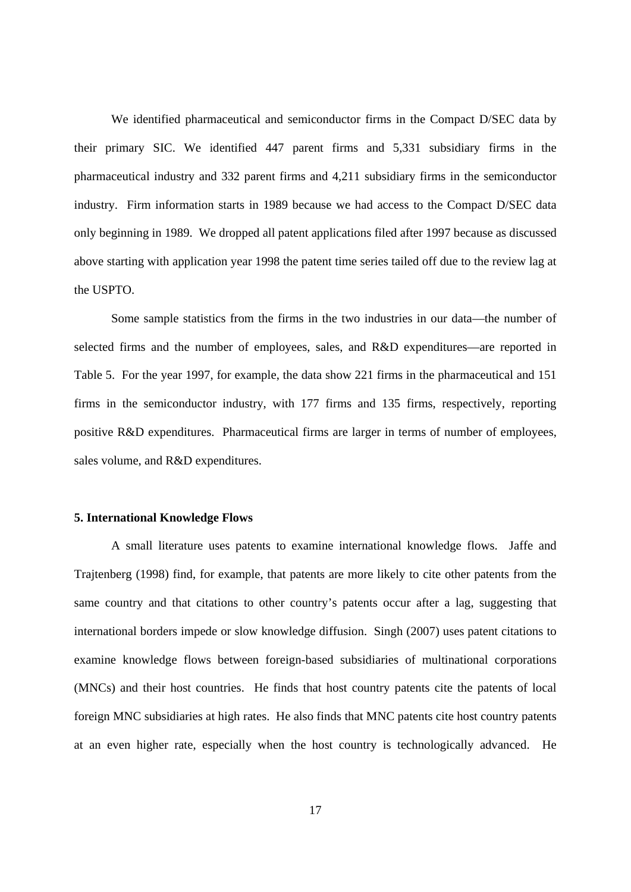We identified pharmaceutical and semiconductor firms in the Compact D/SEC data by their primary SIC. We identified 447 parent firms and 5,331 subsidiary firms in the pharmaceutical industry and 332 parent firms and 4,211 subsidiary firms in the semiconductor industry. Firm information starts in 1989 because we had access to the Compact D/SEC data only beginning in 1989. We dropped all patent applications filed after 1997 because as discussed above starting with application year 1998 the patent time series tailed off due to the review lag at the USPTO.

Some sample statistics from the firms in the two industries in our data—the number of selected firms and the number of employees, sales, and R&D expenditures—are reported in Table 5. For the year 1997, for example, the data show 221 firms in the pharmaceutical and 151 firms in the semiconductor industry, with 177 firms and 135 firms, respectively, reporting positive R&D expenditures. Pharmaceutical firms are larger in terms of number of employees, sales volume, and R&D expenditures.

#### **5. International Knowledge Flows**

A small literature uses patents to examine international knowledge flows. Jaffe and Trajtenberg (1998) find, for example, that patents are more likely to cite other patents from the same country and that citations to other country's patents occur after a lag, suggesting that international borders impede or slow knowledge diffusion. Singh (2007) uses patent citations to examine knowledge flows between foreign-based subsidiaries of multinational corporations (MNCs) and their host countries. He finds that host country patents cite the patents of local foreign MNC subsidiaries at high rates. He also finds that MNC patents cite host country patents at an even higher rate, especially when the host country is technologically advanced. He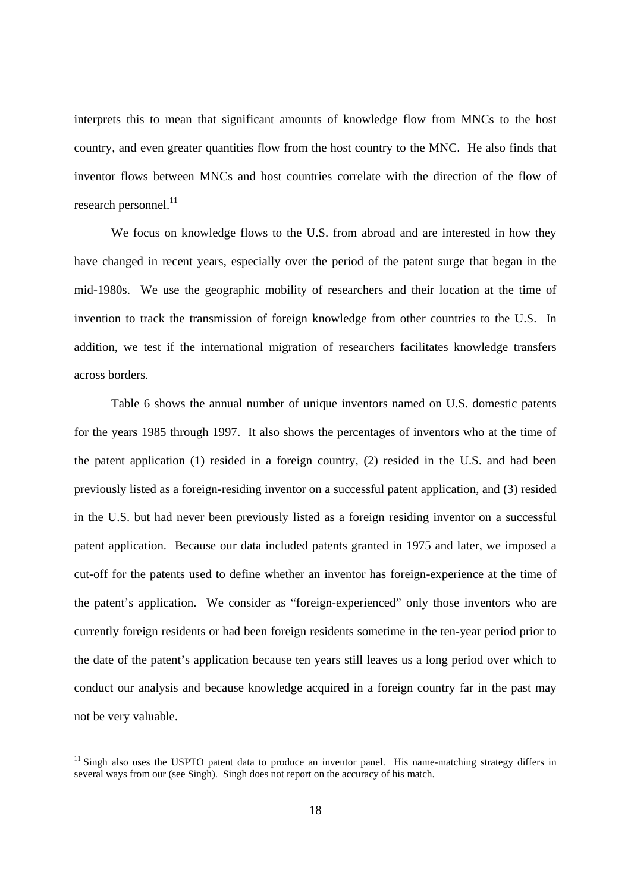interprets this to mean that significant amounts of knowledge flow from MNCs to the host country, and even greater quantities flow from the host country to the MNC. He also finds that inventor flows between MNCs and host countries correlate with the direction of the flow of research personnel. $^{11}$ 

We focus on knowledge flows to the U.S. from abroad and are interested in how they have changed in recent years, especially over the period of the patent surge that began in the mid-1980s. We use the geographic mobility of researchers and their location at the time of invention to track the transmission of foreign knowledge from other countries to the U.S. In addition, we test if the international migration of researchers facilitates knowledge transfers across borders.

Table 6 shows the annual number of unique inventors named on U.S. domestic patents for the years 1985 through 1997. It also shows the percentages of inventors who at the time of the patent application (1) resided in a foreign country, (2) resided in the U.S. and had been previously listed as a foreign-residing inventor on a successful patent application, and (3) resided in the U.S. but had never been previously listed as a foreign residing inventor on a successful patent application. Because our data included patents granted in 1975 and later, we imposed a cut-off for the patents used to define whether an inventor has foreign-experience at the time of the patent's application. We consider as "foreign-experienced" only those inventors who are currently foreign residents or had been foreign residents sometime in the ten-year period prior to the date of the patent's application because ten years still leaves us a long period over which to conduct our analysis and because knowledge acquired in a foreign country far in the past may not be very valuable.

-

<sup>&</sup>lt;sup>11</sup> Singh also uses the USPTO patent data to produce an inventor panel. His name-matching strategy differs in several ways from our (see Singh). Singh does not report on the accuracy of his match.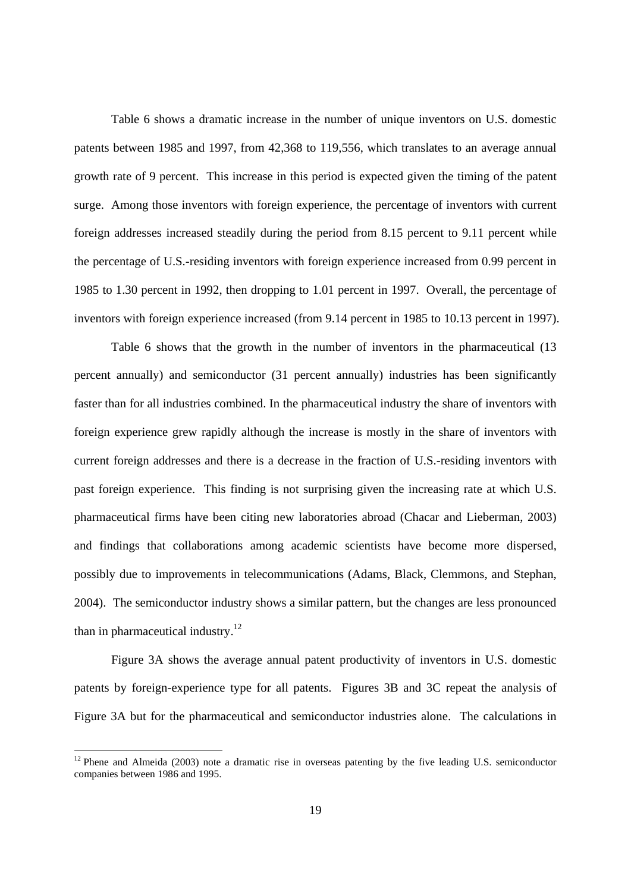Table 6 shows a dramatic increase in the number of unique inventors on U.S. domestic patents between 1985 and 1997, from 42,368 to 119,556, which translates to an average annual growth rate of 9 percent. This increase in this period is expected given the timing of the patent surge. Among those inventors with foreign experience, the percentage of inventors with current foreign addresses increased steadily during the period from 8.15 percent to 9.11 percent while the percentage of U.S.-residing inventors with foreign experience increased from 0.99 percent in 1985 to 1.30 percent in 1992, then dropping to 1.01 percent in 1997. Overall, the percentage of inventors with foreign experience increased (from 9.14 percent in 1985 to 10.13 percent in 1997).

Table 6 shows that the growth in the number of inventors in the pharmaceutical (13 percent annually) and semiconductor (31 percent annually) industries has been significantly faster than for all industries combined. In the pharmaceutical industry the share of inventors with foreign experience grew rapidly although the increase is mostly in the share of inventors with current foreign addresses and there is a decrease in the fraction of U.S.-residing inventors with past foreign experience. This finding is not surprising given the increasing rate at which U.S. pharmaceutical firms have been citing new laboratories abroad (Chacar and Lieberman, 2003) and findings that collaborations among academic scientists have become more dispersed, possibly due to improvements in telecommunications (Adams, Black, Clemmons, and Stephan, 2004). The semiconductor industry shows a similar pattern, but the changes are less pronounced than in pharmaceutical industry. $12$ 

Figure 3A shows the average annual patent productivity of inventors in U.S. domestic patents by foreign-experience type for all patents. Figures 3B and 3C repeat the analysis of Figure 3A but for the pharmaceutical and semiconductor industries alone. The calculations in

-

<sup>&</sup>lt;sup>12</sup> Phene and Almeida (2003) note a dramatic rise in overseas patenting by the five leading U.S. semiconductor companies between 1986 and 1995.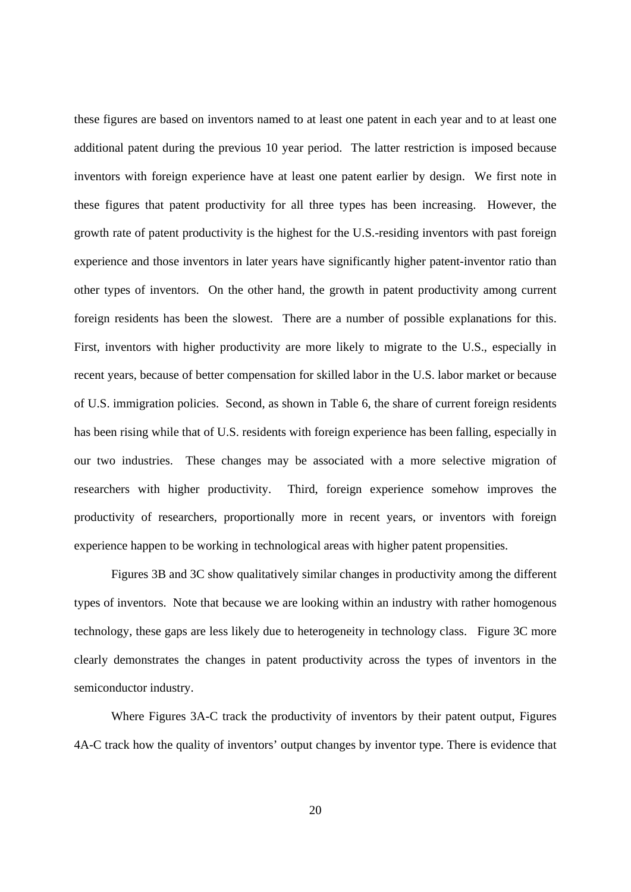these figures are based on inventors named to at least one patent in each year and to at least one additional patent during the previous 10 year period. The latter restriction is imposed because inventors with foreign experience have at least one patent earlier by design. We first note in these figures that patent productivity for all three types has been increasing. However, the growth rate of patent productivity is the highest for the U.S.-residing inventors with past foreign experience and those inventors in later years have significantly higher patent-inventor ratio than other types of inventors. On the other hand, the growth in patent productivity among current foreign residents has been the slowest. There are a number of possible explanations for this. First, inventors with higher productivity are more likely to migrate to the U.S., especially in recent years, because of better compensation for skilled labor in the U.S. labor market or because of U.S. immigration policies. Second, as shown in Table 6, the share of current foreign residents has been rising while that of U.S. residents with foreign experience has been falling, especially in our two industries. These changes may be associated with a more selective migration of researchers with higher productivity. Third, foreign experience somehow improves the productivity of researchers, proportionally more in recent years, or inventors with foreign experience happen to be working in technological areas with higher patent propensities.

Figures 3B and 3C show qualitatively similar changes in productivity among the different types of inventors. Note that because we are looking within an industry with rather homogenous technology, these gaps are less likely due to heterogeneity in technology class. Figure 3C more clearly demonstrates the changes in patent productivity across the types of inventors in the semiconductor industry.

Where Figures 3A-C track the productivity of inventors by their patent output, Figures 4A-C track how the quality of inventors' output changes by inventor type. There is evidence that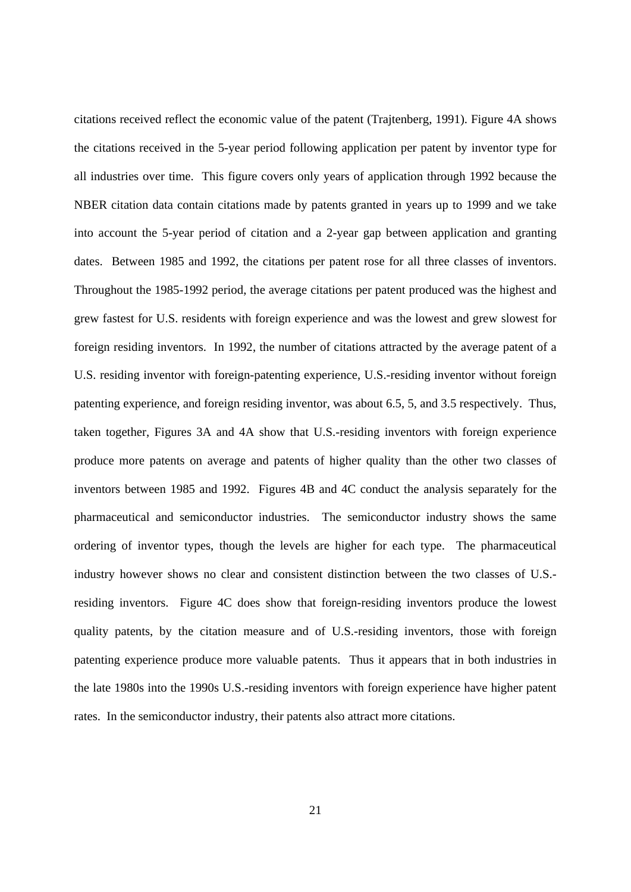citations received reflect the economic value of the patent (Trajtenberg, 1991). Figure 4A shows the citations received in the 5-year period following application per patent by inventor type for all industries over time. This figure covers only years of application through 1992 because the NBER citation data contain citations made by patents granted in years up to 1999 and we take into account the 5-year period of citation and a 2-year gap between application and granting dates. Between 1985 and 1992, the citations per patent rose for all three classes of inventors. Throughout the 1985-1992 period, the average citations per patent produced was the highest and grew fastest for U.S. residents with foreign experience and was the lowest and grew slowest for foreign residing inventors. In 1992, the number of citations attracted by the average patent of a U.S. residing inventor with foreign-patenting experience, U.S.-residing inventor without foreign patenting experience, and foreign residing inventor, was about 6.5, 5, and 3.5 respectively. Thus, taken together, Figures 3A and 4A show that U.S.-residing inventors with foreign experience produce more patents on average and patents of higher quality than the other two classes of inventors between 1985 and 1992. Figures 4B and 4C conduct the analysis separately for the pharmaceutical and semiconductor industries. The semiconductor industry shows the same ordering of inventor types, though the levels are higher for each type. The pharmaceutical industry however shows no clear and consistent distinction between the two classes of U.S. residing inventors. Figure 4C does show that foreign-residing inventors produce the lowest quality patents, by the citation measure and of U.S.-residing inventors, those with foreign patenting experience produce more valuable patents. Thus it appears that in both industries in the late 1980s into the 1990s U.S.-residing inventors with foreign experience have higher patent rates. In the semiconductor industry, their patents also attract more citations.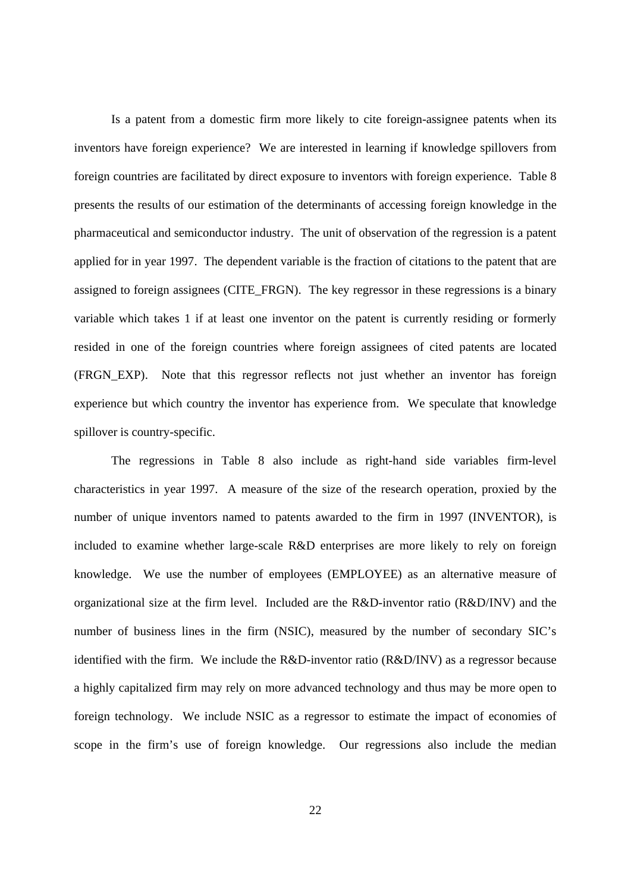Is a patent from a domestic firm more likely to cite foreign-assignee patents when its inventors have foreign experience? We are interested in learning if knowledge spillovers from foreign countries are facilitated by direct exposure to inventors with foreign experience. Table 8 presents the results of our estimation of the determinants of accessing foreign knowledge in the pharmaceutical and semiconductor industry. The unit of observation of the regression is a patent applied for in year 1997. The dependent variable is the fraction of citations to the patent that are assigned to foreign assignees (CITE\_FRGN). The key regressor in these regressions is a binary variable which takes 1 if at least one inventor on the patent is currently residing or formerly resided in one of the foreign countries where foreign assignees of cited patents are located (FRGN\_EXP). Note that this regressor reflects not just whether an inventor has foreign experience but which country the inventor has experience from. We speculate that knowledge spillover is country-specific.

The regressions in Table 8 also include as right-hand side variables firm-level characteristics in year 1997. A measure of the size of the research operation, proxied by the number of unique inventors named to patents awarded to the firm in 1997 (INVENTOR), is included to examine whether large-scale R&D enterprises are more likely to rely on foreign knowledge. We use the number of employees (EMPLOYEE) as an alternative measure of organizational size at the firm level. Included are the R&D-inventor ratio (R&D/INV) and the number of business lines in the firm (NSIC), measured by the number of secondary SIC's identified with the firm. We include the  $R&D$ -inventor ratio  $(R&D/INV)$  as a regressor because a highly capitalized firm may rely on more advanced technology and thus may be more open to foreign technology. We include NSIC as a regressor to estimate the impact of economies of scope in the firm's use of foreign knowledge. Our regressions also include the median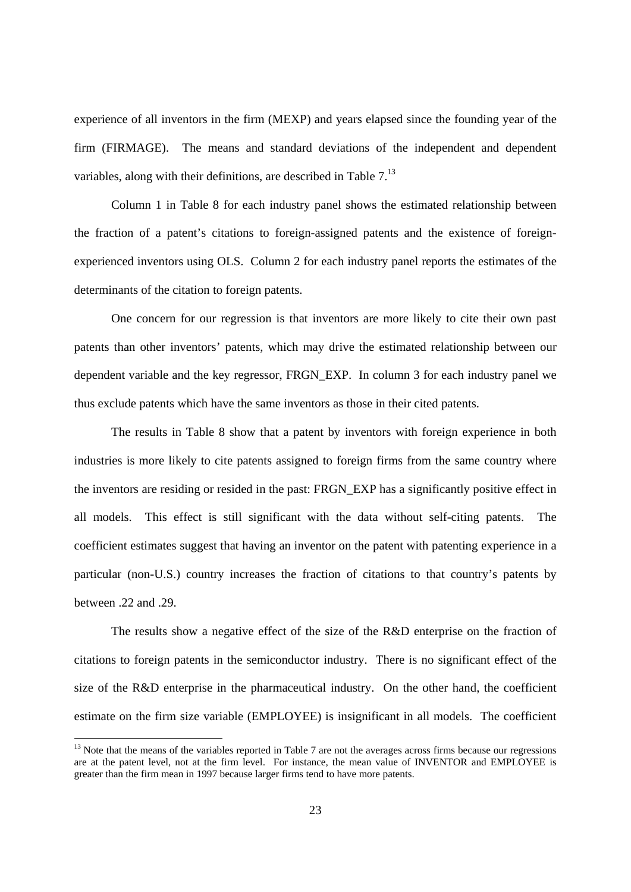experience of all inventors in the firm (MEXP) and years elapsed since the founding year of the firm (FIRMAGE). The means and standard deviations of the independent and dependent variables, along with their definitions, are described in Table  $7<sup>13</sup>$ 

Column 1 in Table 8 for each industry panel shows the estimated relationship between the fraction of a patent's citations to foreign-assigned patents and the existence of foreignexperienced inventors using OLS. Column 2 for each industry panel reports the estimates of the determinants of the citation to foreign patents.

One concern for our regression is that inventors are more likely to cite their own past patents than other inventors' patents, which may drive the estimated relationship between our dependent variable and the key regressor, FRGN\_EXP. In column 3 for each industry panel we thus exclude patents which have the same inventors as those in their cited patents.

The results in Table 8 show that a patent by inventors with foreign experience in both industries is more likely to cite patents assigned to foreign firms from the same country where the inventors are residing or resided in the past: FRGN\_EXP has a significantly positive effect in all models. This effect is still significant with the data without self-citing patents. The coefficient estimates suggest that having an inventor on the patent with patenting experience in a particular (non-U.S.) country increases the fraction of citations to that country's patents by between .22 and .29.

The results show a negative effect of the size of the R&D enterprise on the fraction of citations to foreign patents in the semiconductor industry. There is no significant effect of the size of the R&D enterprise in the pharmaceutical industry. On the other hand, the coefficient estimate on the firm size variable (EMPLOYEE) is insignificant in all models. The coefficient

-

 $13$  Note that the means of the variables reported in Table 7 are not the averages across firms because our regressions are at the patent level, not at the firm level. For instance, the mean value of INVENTOR and EMPLOYEE is greater than the firm mean in 1997 because larger firms tend to have more patents.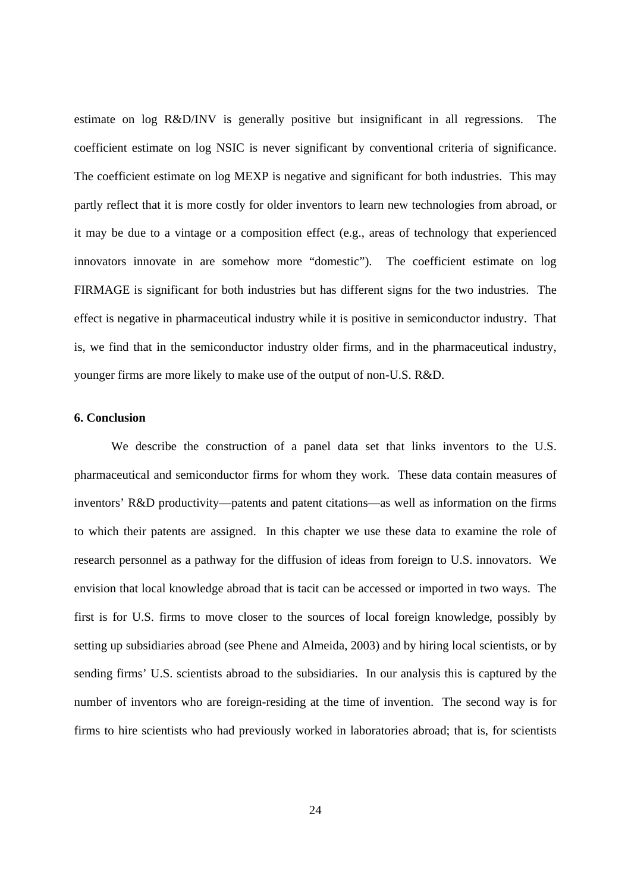estimate on log R&D/INV is generally positive but insignificant in all regressions. The coefficient estimate on log NSIC is never significant by conventional criteria of significance. The coefficient estimate on log MEXP is negative and significant for both industries. This may partly reflect that it is more costly for older inventors to learn new technologies from abroad, or it may be due to a vintage or a composition effect (e.g., areas of technology that experienced innovators innovate in are somehow more "domestic"). The coefficient estimate on log FIRMAGE is significant for both industries but has different signs for the two industries. The effect is negative in pharmaceutical industry while it is positive in semiconductor industry. That is, we find that in the semiconductor industry older firms, and in the pharmaceutical industry, younger firms are more likely to make use of the output of non-U.S. R&D.

### **6. Conclusion**

We describe the construction of a panel data set that links inventors to the U.S. pharmaceutical and semiconductor firms for whom they work. These data contain measures of inventors' R&D productivity—patents and patent citations—as well as information on the firms to which their patents are assigned. In this chapter we use these data to examine the role of research personnel as a pathway for the diffusion of ideas from foreign to U.S. innovators. We envision that local knowledge abroad that is tacit can be accessed or imported in two ways. The first is for U.S. firms to move closer to the sources of local foreign knowledge, possibly by setting up subsidiaries abroad (see Phene and Almeida, 2003) and by hiring local scientists, or by sending firms' U.S. scientists abroad to the subsidiaries. In our analysis this is captured by the number of inventors who are foreign-residing at the time of invention. The second way is for firms to hire scientists who had previously worked in laboratories abroad; that is, for scientists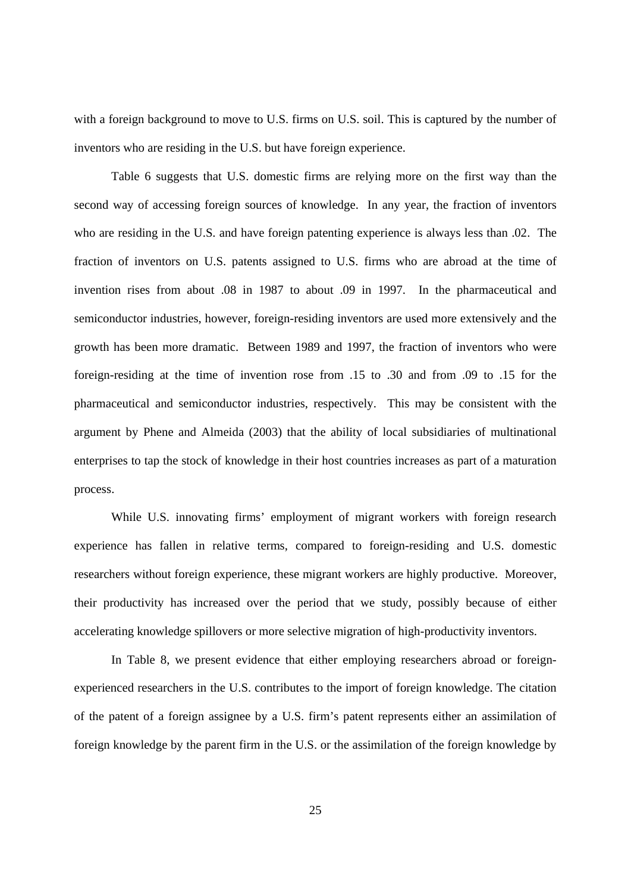with a foreign background to move to U.S. firms on U.S. soil. This is captured by the number of inventors who are residing in the U.S. but have foreign experience.

Table 6 suggests that U.S. domestic firms are relying more on the first way than the second way of accessing foreign sources of knowledge. In any year, the fraction of inventors who are residing in the U.S. and have foreign patenting experience is always less than .02. The fraction of inventors on U.S. patents assigned to U.S. firms who are abroad at the time of invention rises from about .08 in 1987 to about .09 in 1997. In the pharmaceutical and semiconductor industries, however, foreign-residing inventors are used more extensively and the growth has been more dramatic. Between 1989 and 1997, the fraction of inventors who were foreign-residing at the time of invention rose from .15 to .30 and from .09 to .15 for the pharmaceutical and semiconductor industries, respectively. This may be consistent with the argument by Phene and Almeida (2003) that the ability of local subsidiaries of multinational enterprises to tap the stock of knowledge in their host countries increases as part of a maturation process.

While U.S. innovating firms' employment of migrant workers with foreign research experience has fallen in relative terms, compared to foreign-residing and U.S. domestic researchers without foreign experience, these migrant workers are highly productive. Moreover, their productivity has increased over the period that we study, possibly because of either accelerating knowledge spillovers or more selective migration of high-productivity inventors.

In Table 8, we present evidence that either employing researchers abroad or foreignexperienced researchers in the U.S. contributes to the import of foreign knowledge. The citation of the patent of a foreign assignee by a U.S. firm's patent represents either an assimilation of foreign knowledge by the parent firm in the U.S. or the assimilation of the foreign knowledge by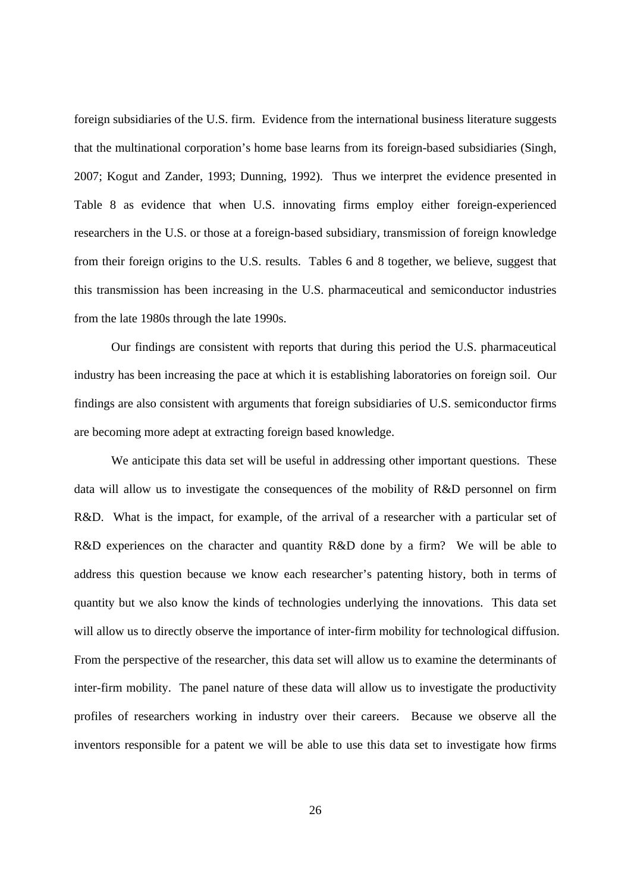foreign subsidiaries of the U.S. firm. Evidence from the international business literature suggests that the multinational corporation's home base learns from its foreign-based subsidiaries (Singh, 2007; Kogut and Zander, 1993; Dunning, 1992). Thus we interpret the evidence presented in Table 8 as evidence that when U.S. innovating firms employ either foreign-experienced researchers in the U.S. or those at a foreign-based subsidiary, transmission of foreign knowledge from their foreign origins to the U.S. results. Tables 6 and 8 together, we believe, suggest that this transmission has been increasing in the U.S. pharmaceutical and semiconductor industries from the late 1980s through the late 1990s.

Our findings are consistent with reports that during this period the U.S. pharmaceutical industry has been increasing the pace at which it is establishing laboratories on foreign soil. Our findings are also consistent with arguments that foreign subsidiaries of U.S. semiconductor firms are becoming more adept at extracting foreign based knowledge.

We anticipate this data set will be useful in addressing other important questions. These data will allow us to investigate the consequences of the mobility of R&D personnel on firm R&D. What is the impact, for example, of the arrival of a researcher with a particular set of R&D experiences on the character and quantity R&D done by a firm? We will be able to address this question because we know each researcher's patenting history, both in terms of quantity but we also know the kinds of technologies underlying the innovations. This data set will allow us to directly observe the importance of inter-firm mobility for technological diffusion. From the perspective of the researcher, this data set will allow us to examine the determinants of inter-firm mobility. The panel nature of these data will allow us to investigate the productivity profiles of researchers working in industry over their careers. Because we observe all the inventors responsible for a patent we will be able to use this data set to investigate how firms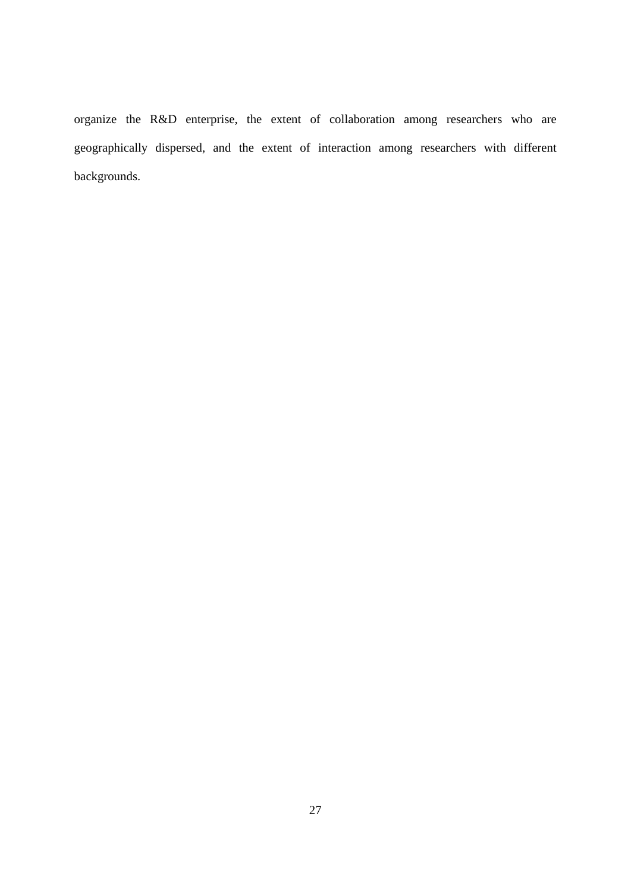organize the R&D enterprise, the extent of collaboration among researchers who are geographically dispersed, and the extent of interaction among researchers with different backgrounds.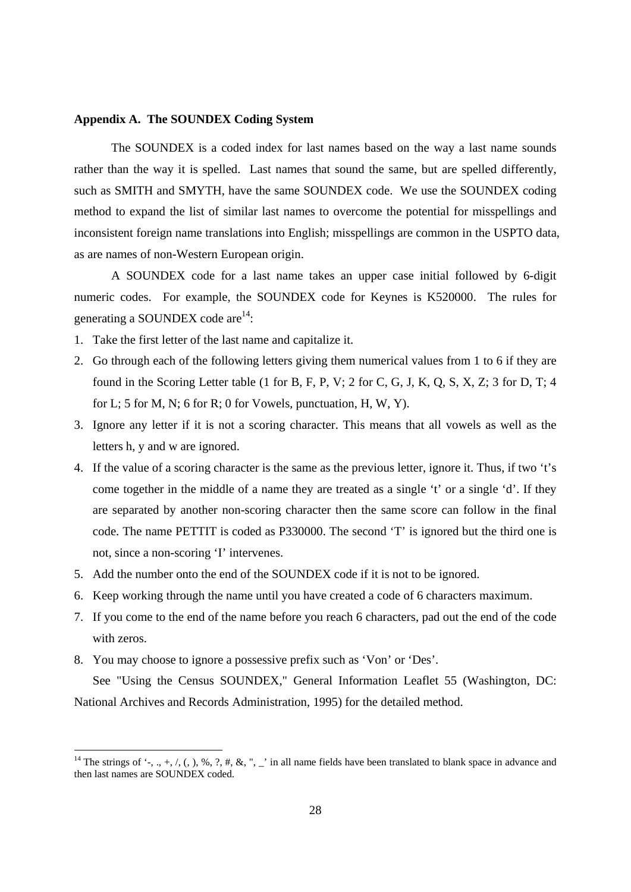#### **Appendix A. The SOUNDEX Coding System**

The SOUNDEX is a coded index for last names based on the way a last name sounds rather than the way it is spelled. Last names that sound the same, but are spelled differently, such as SMITH and SMYTH, have the same SOUNDEX code. We use the SOUNDEX coding method to expand the list of similar last names to overcome the potential for misspellings and inconsistent foreign name translations into English; misspellings are common in the USPTO data, as are names of non-Western European origin.

A SOUNDEX code for a last name takes an upper case initial followed by 6-digit numeric codes. For example, the SOUNDEX code for Keynes is K520000. The rules for generating a SOUNDEX code are  $14$ :

- 1. Take the first letter of the last name and capitalize it.
- 2. Go through each of the following letters giving them numerical values from 1 to 6 if they are found in the Scoring Letter table (1 for B, F, P, V; 2 for C, G, J, K, Q, S, X, Z; 3 for D, T; 4 for L; 5 for M, N; 6 for R; 0 for Vowels, punctuation, H, W, Y).
- 3. Ignore any letter if it is not a scoring character. This means that all vowels as well as the letters h, y and w are ignored.
- 4. If the value of a scoring character is the same as the previous letter, ignore it. Thus, if two 't's come together in the middle of a name they are treated as a single 't' or a single 'd'. If they are separated by another non-scoring character then the same score can follow in the final code. The name PETTIT is coded as P330000. The second 'T' is ignored but the third one is not, since a non-scoring 'I' intervenes.
- 5. Add the number onto the end of the SOUNDEX code if it is not to be ignored.
- 6. Keep working through the name until you have created a code of 6 characters maximum.
- 7. If you come to the end of the name before you reach 6 characters, pad out the end of the code with zeros.
- 8. You may choose to ignore a possessive prefix such as 'Von' or 'Des'.

-

See "Using the Census SOUNDEX," General Information Leaflet 55 (Washington, DC: National Archives and Records Administration, 1995) for the detailed method.

<sup>&</sup>lt;sup>14</sup> The strings of '-, ., +, /, (, ), %, ?, #, &, ", \_' in all name fields have been translated to blank space in advance and then last names are SOUNDEX coded.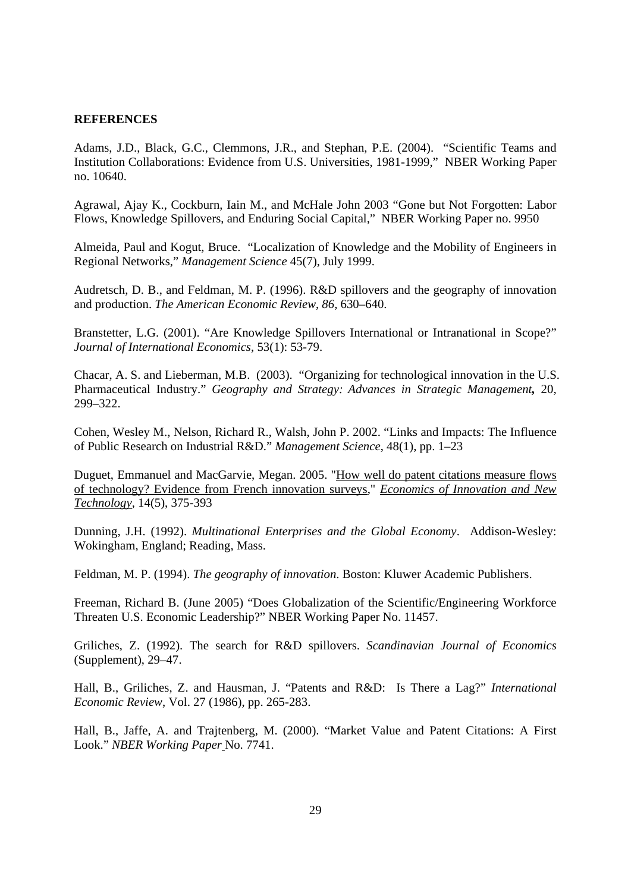#### **REFERENCES**

Adams, J.D., Black, G.C., Clemmons, J.R., and Stephan, P.E. (2004). "Scientific Teams and Institution Collaborations: Evidence from U.S. Universities, 1981-1999," NBER Working Paper no. 10640.

Agrawal, Ajay K., Cockburn, Iain M., and McHale John 2003 "Gone but Not Forgotten: Labor Flows, Knowledge Spillovers, and Enduring Social Capital," NBER Working Paper no. 9950

Almeida, Paul and Kogut, Bruce. "Localization of Knowledge and the Mobility of Engineers in Regional Networks," *Management Science* 45(7), July 1999.

Audretsch, D. B., and Feldman, M. P. (1996). R&D spillovers and the geography of innovation and production. *The American Economic Review*, *86*, 630–640.

Branstetter, L.G. (2001). "Are Knowledge Spillovers International or Intranational in Scope?" *Journal of International Economics*, 53(1): 53-79.

Chacar, A. S. and Lieberman, M.B. (2003). "Organizing for technological innovation in the U.S. Pharmaceutical Industry." *Geography and Strategy: Advances in Strategic Management,* 20, 299–322.

Cohen, Wesley M., Nelson, Richard R., Walsh, John P. 2002. "Links and Impacts: The Influence of Public Research on Industrial R&D." *Management Science*, 48(1), pp. 1–23

Duguet, Emmanuel and MacGarvie, Megan. 2005. "How well do patent citations measure flows of technology? Evidence from French innovation surveys," *Economics of Innovation and New Technology*, 14(5), 375-393

Dunning, J.H. (1992). *Multinational Enterprises and the Global Economy*. Addison-Wesley: Wokingham, England; Reading, Mass.

Feldman, M. P. (1994). *The geography of innovation*. Boston: Kluwer Academic Publishers.

Freeman, Richard B. (June 2005) "Does Globalization of the Scientific/Engineering Workforce Threaten U.S. Economic Leadership?" NBER Working Paper No. 11457.

Griliches, Z. (1992). The search for R&D spillovers. *Scandinavian Journal of Economics*  (Supplement), 29–47.

Hall, B., Griliches, Z. and Hausman, J. "Patents and R&D: Is There a Lag?" *International Economic Review*, Vol. 27 (1986), pp. 265-283.

Hall, B., Jaffe, A. and Trajtenberg, M. (2000). "Market Value and Patent Citations: A First Look." *NBER Working Paper* No. 7741.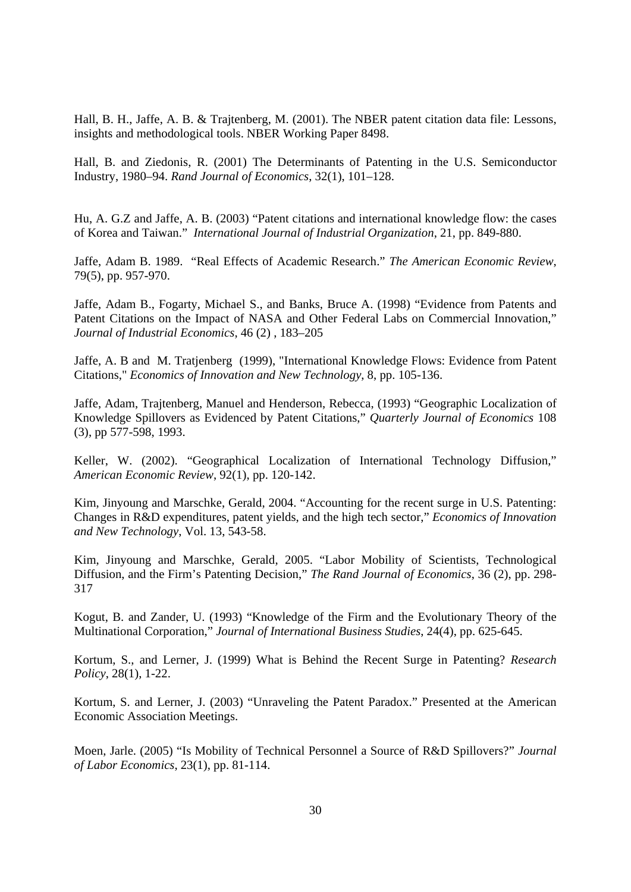Hall, B. H., Jaffe, A. B. & Trajtenberg, M. (2001). The NBER patent citation data file: Lessons, insights and methodological tools. NBER Working Paper 8498.

Hall, B. and Ziedonis, R. (2001) The Determinants of Patenting in the U.S. Semiconductor Industry, 1980–94. *Rand Journal of Economics*, 32(1), 101–128.

Hu, A. G.Z and Jaffe, A. B. (2003) "Patent citations and international knowledge flow: the cases of Korea and Taiwan." *International Journal of Industrial Organization*, 21, pp. 849-880.

Jaffe, Adam B. 1989. "Real Effects of Academic Research." *The American Economic Review*, 79(5), pp. 957-970.

Jaffe, Adam B., Fogarty, Michael S., and Banks, Bruce A. (1998) "Evidence from Patents and Patent Citations on the Impact of NASA and Other Federal Labs on Commercial Innovation," *Journal of Industrial Economics*, 46 (2) , 183–205

Jaffe, A. B and M. Tratjenberg (1999), "International Knowledge Flows: Evidence from Patent Citations," *Economics of Innovation and New Technology*, 8, pp. 105-136.

Jaffe, Adam, Trajtenberg, Manuel and Henderson, Rebecca, (1993) "Geographic Localization of Knowledge Spillovers as Evidenced by Patent Citations," *Quarterly Journal of Economics* 108 (3), pp 577-598, 1993.

Keller, W. (2002). "Geographical Localization of International Technology Diffusion," *American Economic Review*, 92(1), pp. 120-142.

Kim, Jinyoung and Marschke, Gerald, 2004. "Accounting for the recent surge in U.S. Patenting: Changes in R&D expenditures, patent yields, and the high tech sector," *Economics of Innovation and New Technology*, Vol. 13, 543-58.

Kim, Jinyoung and Marschke, Gerald, 2005. "Labor Mobility of Scientists, Technological Diffusion, and the Firm's Patenting Decision," *The Rand Journal of Economics*, 36 (2), pp. 298- 317

Kogut, B. and Zander, U. (1993) "Knowledge of the Firm and the Evolutionary Theory of the Multinational Corporation," *Journal of International Business Studies*, 24(4), pp. 625-645.

Kortum, S., and Lerner, J. (1999) What is Behind the Recent Surge in Patenting? *Research Policy*, 28(1), 1-22.

Kortum, S. and Lerner, J. (2003) "Unraveling the Patent Paradox." Presented at the American Economic Association Meetings.

Moen, Jarle. (2005) "Is Mobility of Technical Personnel a Source of R&D Spillovers?" *Journal of Labor Economics*, 23(1), pp. 81-114.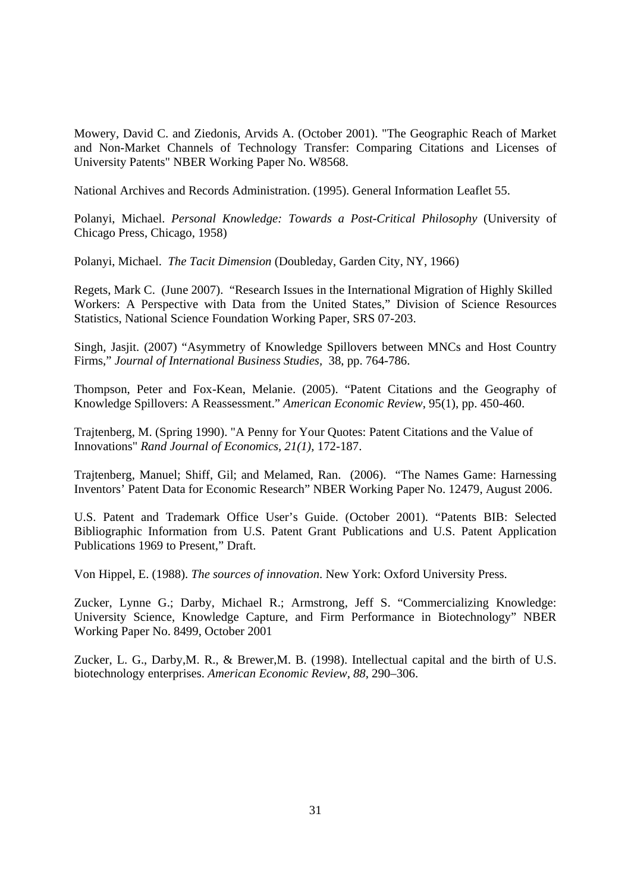Mowery, David C. and Ziedonis, Arvids A. (October 2001). "The Geographic Reach of Market and Non-Market Channels of Technology Transfer: Comparing Citations and Licenses of University Patents" NBER Working Paper No. W8568.

National Archives and Records Administration. (1995). General Information Leaflet 55.

Polanyi, Michael. *Personal Knowledge: Towards a Post-Critical Philosophy* (University of Chicago Press, Chicago, 1958)

Polanyi, Michael. *The Tacit Dimension* (Doubleday, Garden City, NY, 1966)

Regets, Mark C. (June 2007). "Research Issues in the International Migration of Highly Skilled Workers: A Perspective with Data from the United States," Division of Science Resources Statistics, National Science Foundation Working Paper, SRS 07-203.

Singh, Jasjit. (2007) "Asymmetry of Knowledge Spillovers between MNCs and Host Country Firms," *Journal of International Business Studies,* 38, pp. 764-786.

Thompson, Peter and Fox-Kean, Melanie. (2005). "Patent Citations and the Geography of Knowledge Spillovers: A Reassessment." *American Economic Review*, 95(1), pp. 450-460.

Trajtenberg, M. (Spring 1990). "A Penny for Your Quotes: Patent Citations and the Value of Innovations" *Rand Journal of Economics, 21(1),* 172-187.

Trajtenberg, Manuel; Shiff, Gil; and Melamed, Ran. (2006). "The Names Game: Harnessing Inventors' Patent Data for Economic Research" NBER Working Paper No. 12479, August 2006.

U.S. Patent and Trademark Office User's Guide. (October 2001). "Patents BIB: Selected Bibliographic Information from U.S. Patent Grant Publications and U.S. Patent Application Publications 1969 to Present," Draft.

Von Hippel, E. (1988). *The sources of innovation*. New York: Oxford University Press.

Zucker, Lynne G.; Darby, Michael R.; Armstrong, Jeff S. "Commercializing Knowledge: University Science, Knowledge Capture, and Firm Performance in Biotechnology" NBER Working Paper No. 8499, October 2001

Zucker, L. G., Darby,M. R., & Brewer,M. B. (1998). Intellectual capital and the birth of U.S. biotechnology enterprises. *American Economic Review*, *88*, 290–306.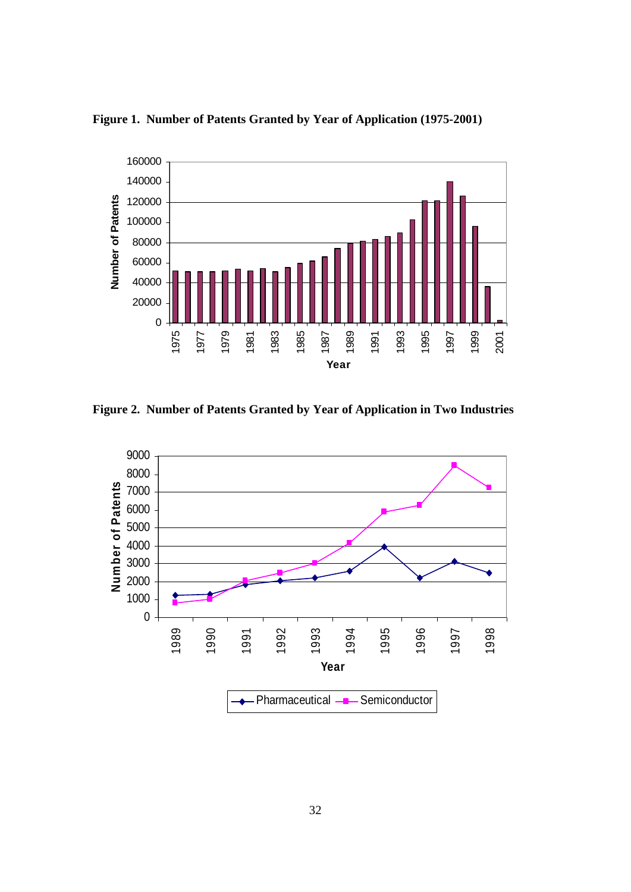

**Figure 1. Number of Patents Granted by Year of Application (1975-2001)** 

**Figure 2. Number of Patents Granted by Year of Application in Two Industries** 

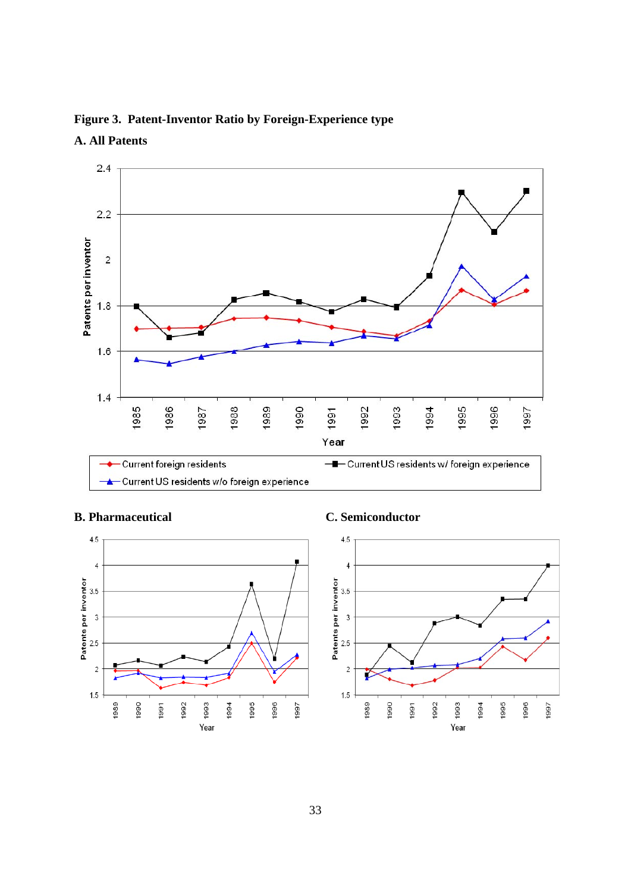

**Figure 3. Patent-Inventor Ratio by Foreign-Experience type A. All Patents** 



### **B. Pharmaceutical C. Semiconductor**

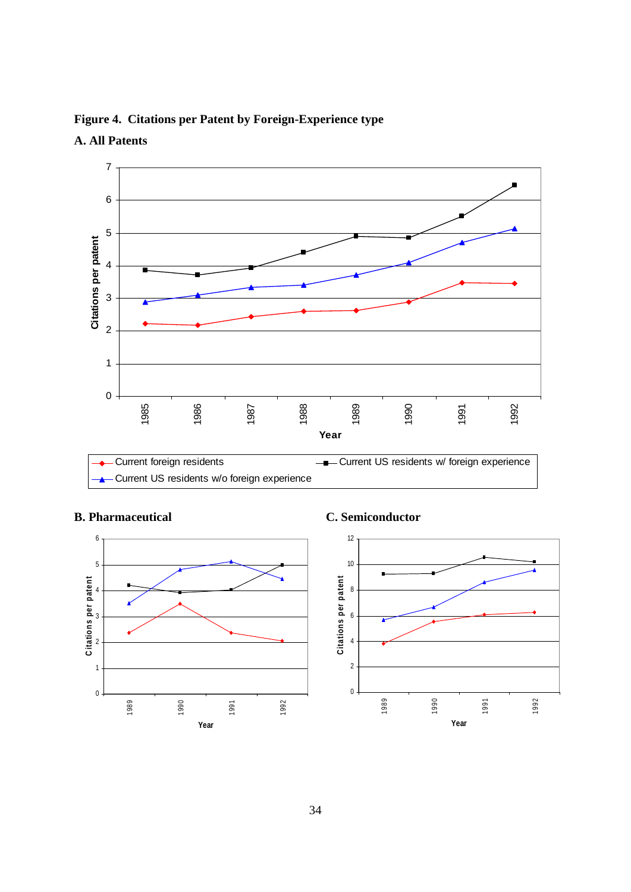

**Figure 4. Citations per Patent by Foreign-Experience type A. All Patents** 



## **B. Pharmaceutical C. Semiconductor**

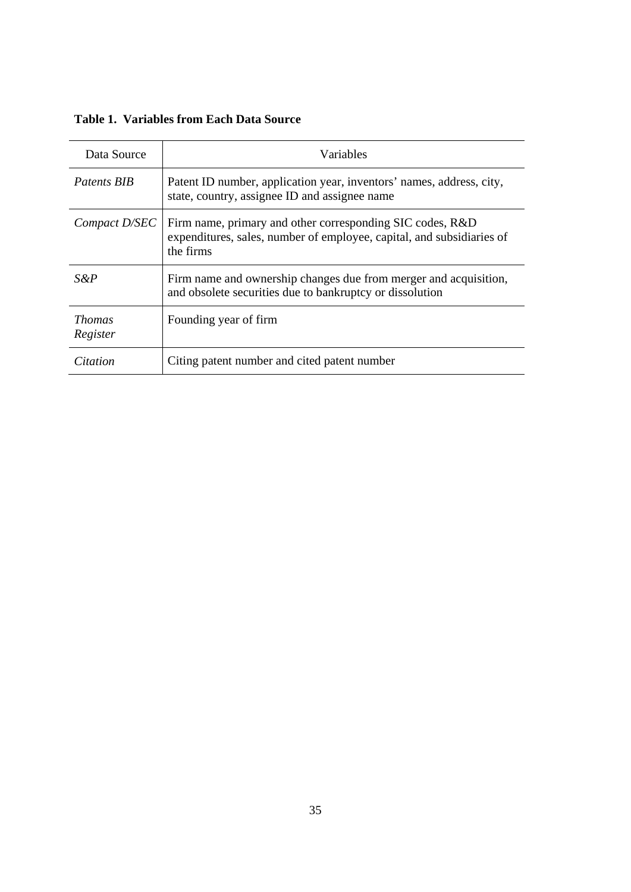**Table 1. Variables from Each Data Source** 

| Data Source               | Variables                                                                                                                                       |
|---------------------------|-------------------------------------------------------------------------------------------------------------------------------------------------|
| Patents BIB               | Patent ID number, application year, inventors' names, address, city,<br>state, country, assignee ID and assignee name                           |
| Compact D/SEC             | Firm name, primary and other corresponding SIC codes, R&D<br>expenditures, sales, number of employee, capital, and subsidiaries of<br>the firms |
| S&P                       | Firm name and ownership changes due from merger and acquisition,<br>and obsolete securities due to bankruptcy or dissolution                    |
| <i>Thomas</i><br>Register | Founding year of firm                                                                                                                           |
| Citation                  | Citing patent number and cited patent number                                                                                                    |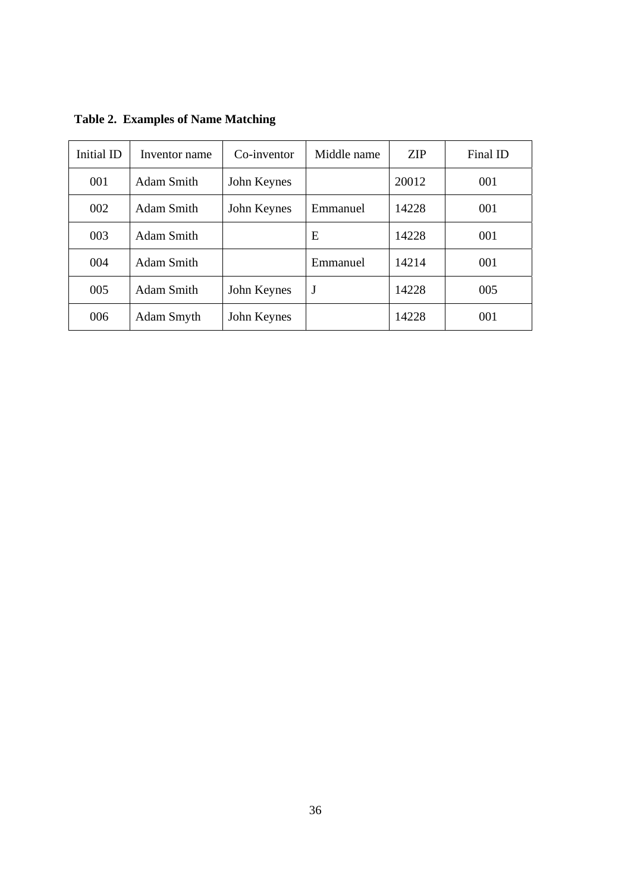**Table 2. Examples of Name Matching** 

| Initial ID | Inventor name     | Co-inventor | Middle name | <b>ZIP</b> | Final ID |
|------------|-------------------|-------------|-------------|------------|----------|
| 001        | Adam Smith        | John Keynes |             | 20012      | 001      |
| 002        | Adam Smith        | John Keynes | Emmanuel    | 14228      | 001      |
| 003        | Adam Smith        |             | E           | 14228      | 001      |
| 004        | Adam Smith        |             | Emmanuel    | 14214      | 001      |
| 005        | <b>Adam Smith</b> | John Keynes | J           | 14228      | 005      |
| 006        | Adam Smyth        | John Keynes |             | 14228      | 001      |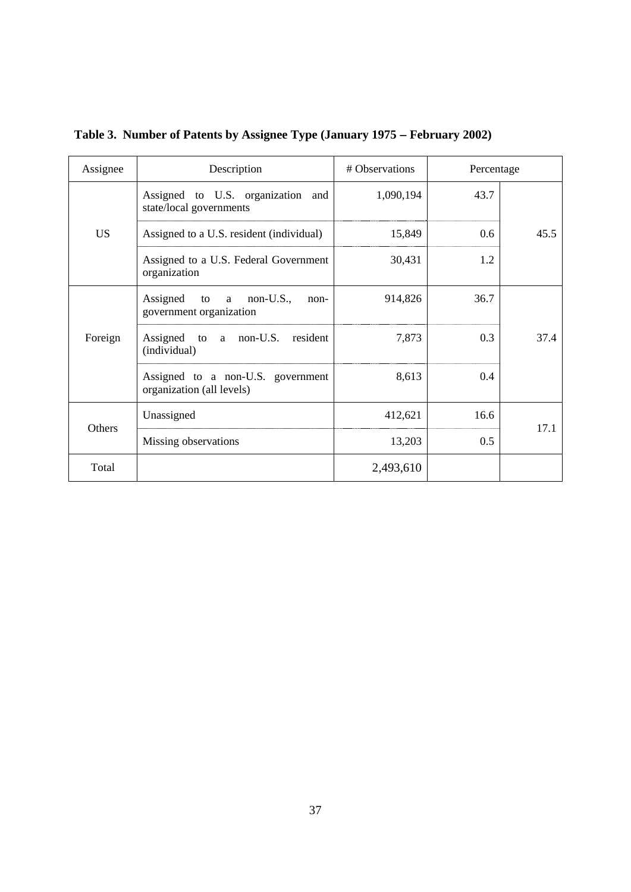| Assignee  | Description                                                        | # Observations | Percentage |      |
|-----------|--------------------------------------------------------------------|----------------|------------|------|
|           | Assigned to U.S. organization and<br>state/local governments       | 1,090,194      | 43.7       |      |
| <b>US</b> | Assigned to a U.S. resident (individual)                           | 15,849         | 0.6        | 45.5 |
|           | Assigned to a U.S. Federal Government<br>organization              | 30,431         | 1.2        |      |
| Foreign   | Assigned<br>$non-U.S.,$<br>to a<br>non-<br>government organization | 914,826        | 36.7       |      |
|           | to a non-U.S.<br>Assigned<br>resident<br>(individual)              | 7,873          | 0.3        | 37.4 |
|           | Assigned to a non-U.S. government<br>organization (all levels)     | 8,613          | 0.4        |      |
|           | Unassigned                                                         | 412,621        | 16.6       |      |
| Others    | Missing observations                                               | 13,203         | 0.5        | 17.1 |
| Total     |                                                                    | 2,493,610      |            |      |

**Table 3. Number of Patents by Assignee Type (January 1975** − **February 2002)**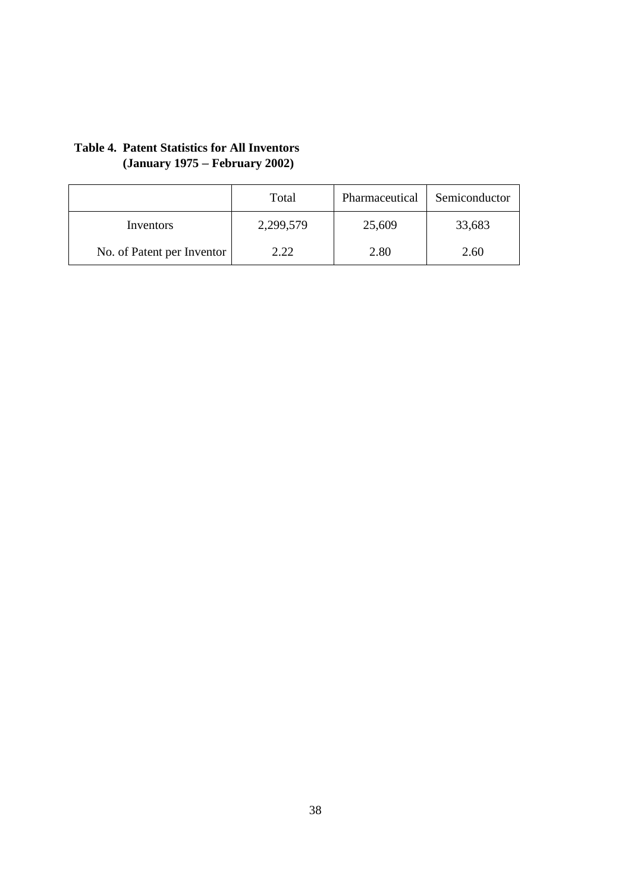## **Table 4. Patent Statistics for All Inventors (January 1975** − **February 2002)**

|                            | Total     | Pharmaceutical | Semiconductor |
|----------------------------|-----------|----------------|---------------|
| Inventors                  | 2,299,579 | 25,609         | 33,683        |
| No. of Patent per Inventor | 2.22      | 2.80           | 2.60          |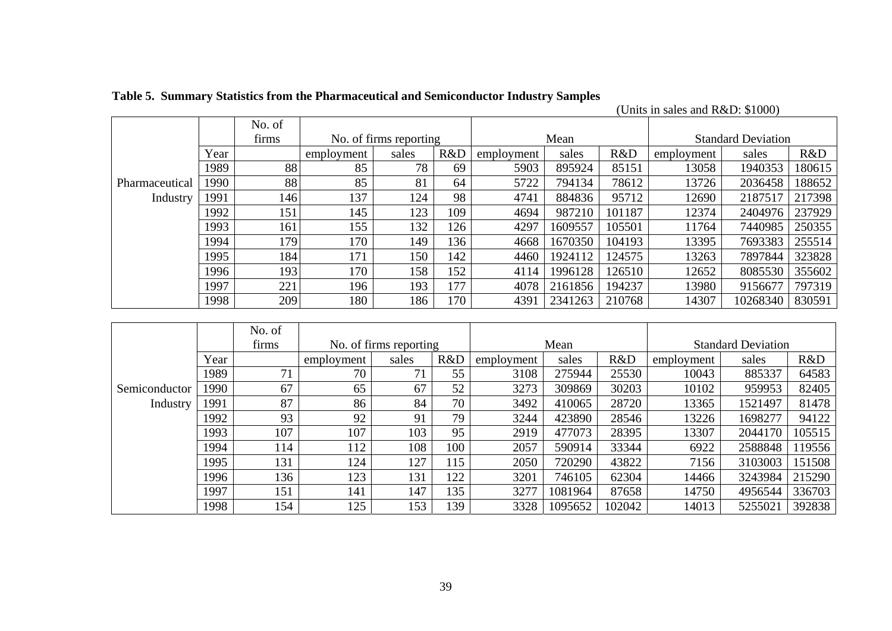|                |      |        |            | (Units in sales and $R&D$ : \$1000) |     |            |         |        |                           |          |        |
|----------------|------|--------|------------|-------------------------------------|-----|------------|---------|--------|---------------------------|----------|--------|
|                |      | No. of |            |                                     |     |            |         |        |                           |          |        |
|                |      | firms  |            | No. of firms reporting              |     | Mean       |         |        | <b>Standard Deviation</b> |          |        |
|                | Year |        | employment | sales                               | R&D | employment | sales   | R&D    | employment                | sales    | R&D    |
|                | 1989 | 88     | 85         | 78                                  | 69  | 5903       | 895924  | 85151  | 13058                     | 1940353  | 180615 |
| Pharmaceutical | 1990 | 88     | 85         | 81                                  | 64  | 5722       | 794134  | 78612  | 13726                     | 2036458  | 188652 |
| Industry       | 1991 | 146    | 137        | 124                                 | 98  | 4741       | 884836  | 95712  | 12690                     | 2187517  | 217398 |
|                | 1992 | 151    | 145        | 123                                 | 109 | 4694       | 987210  | 101187 | 12374                     | 2404976  | 237929 |
|                | 1993 | 161    | 155        | 132                                 | 126 | 4297       | 1609557 | 105501 | 11764                     | 7440985  | 250355 |
|                | 1994 | 179    | 170        | 149                                 | 136 | 4668       | 1670350 | 104193 | 13395                     | 7693383  | 255514 |
|                | 1995 | 184    | 171        | 150                                 | 142 | 4460       | 1924112 | 124575 | 13263                     | 7897844  | 323828 |
|                | 1996 | 193    | 170        | 158                                 | 152 | 4114       | 1996128 | 126510 | 12652                     | 8085530  | 355602 |
|                | 1997 | 221    | 196        | 193                                 | 177 | 4078       | 2161856 | 194237 | 13980                     | 9156677  | 797319 |
|                | 1998 | 209    | 180        | 186                                 | 170 | 4391       | 2341263 | 210768 | 14307                     | 10268340 | 830591 |

**Table 5. Summary Statistics from the Pharmaceutical and Semiconductor Industry Samples** 

|               |      | No. of |            |                        |     |            |         |        |            |                           |        |  |
|---------------|------|--------|------------|------------------------|-----|------------|---------|--------|------------|---------------------------|--------|--|
|               |      | firms  |            | No. of firms reporting |     |            | Mean    |        |            | <b>Standard Deviation</b> |        |  |
|               | Year |        | employment | sales                  | R&D | employment | sales   | R&D    | employment | sales                     | R&D    |  |
|               | 1989 | 71     | 70         | 71                     | 55  | 3108       | 275944  | 25530  | 10043      | 885337                    | 64583  |  |
| Semiconductor | 1990 | 67     | 65         | 67                     | 52  | 3273       | 309869  | 30203  | 10102      | 959953                    | 82405  |  |
| Industry      | 1991 | 87     | 86         | 84                     | 70  | 3492       | 410065  | 28720  | 13365      | 1521497                   | 81478  |  |
|               | 1992 | 93     | 92         | 91                     | 79  | 3244       | 423890  | 28546  | 13226      | 1698277                   | 94122  |  |
|               | 1993 | 107    | 107        | 103                    | 95  | 2919       | 477073  | 28395  | 13307      | 2044170                   | 105515 |  |
|               | 1994 | 114    | 12         | 108                    | 100 | 2057       | 590914  | 33344  | 6922       | 2588848                   | 119556 |  |
|               | 1995 | 131    | 124        | 127                    | 115 | 2050       | 720290  | 43822  | 7156       | 3103003                   | 151508 |  |
|               | 1996 | 136    | 123        | 131                    | 122 | 3201       | 746105  | 62304  | 14466      | 3243984                   | 215290 |  |
|               | 1997 | 151    | 141        | 147                    | 135 | 3277       | 1081964 | 87658  | 14750      | 4956544                   | 336703 |  |
|               | 1998 | 154    | 125        | 153                    | 139 | 3328       | 1095652 | 102042 | 14013      | 5255021                   | 392838 |  |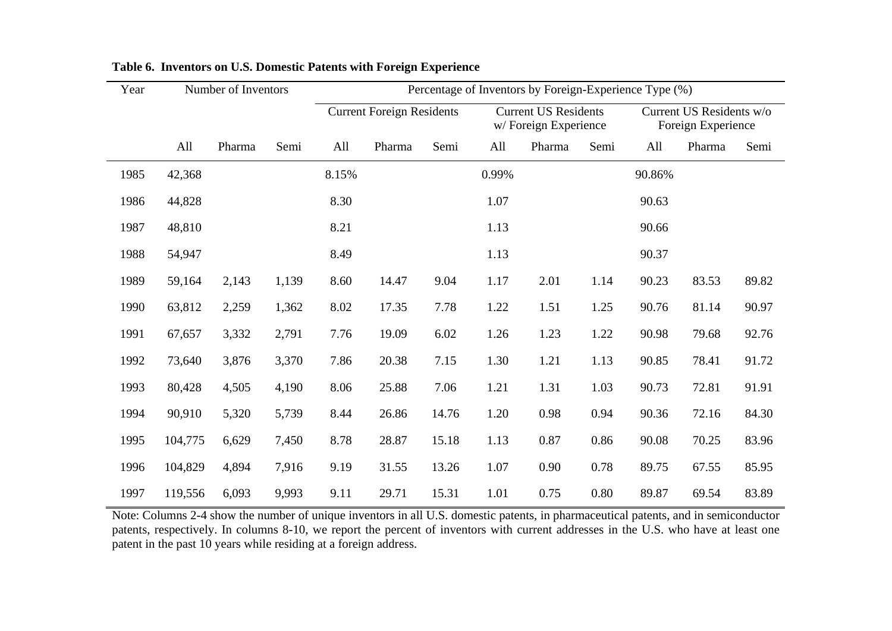| Year | Number of Inventors |        |       | Percentage of Inventors by Foreign-Experience Type (%) |                                  |       |                                                     |        |      |                                                |        |       |
|------|---------------------|--------|-------|--------------------------------------------------------|----------------------------------|-------|-----------------------------------------------------|--------|------|------------------------------------------------|--------|-------|
|      |                     |        |       |                                                        | <b>Current Foreign Residents</b> |       | <b>Current US Residents</b><br>w/Foreign Experience |        |      | Current US Residents w/o<br>Foreign Experience |        |       |
|      | All                 | Pharma | Semi  | All                                                    | Pharma                           | Semi  | All                                                 | Pharma | Semi | All                                            | Pharma | Semi  |
| 1985 | 42,368              |        |       | 8.15%                                                  |                                  |       | 0.99%                                               |        |      | 90.86%                                         |        |       |
| 1986 | 44,828              |        |       | 8.30                                                   |                                  |       | 1.07                                                |        |      | 90.63                                          |        |       |
| 1987 | 48,810              |        |       | 8.21                                                   |                                  |       | 1.13                                                |        |      | 90.66                                          |        |       |
| 1988 | 54,947              |        |       | 8.49                                                   |                                  |       | 1.13                                                |        |      | 90.37                                          |        |       |
| 1989 | 59,164              | 2,143  | 1,139 | 8.60                                                   | 14.47                            | 9.04  | 1.17                                                | 2.01   | 1.14 | 90.23                                          | 83.53  | 89.82 |
| 1990 | 63,812              | 2,259  | 1,362 | 8.02                                                   | 17.35                            | 7.78  | 1.22                                                | 1.51   | 1.25 | 90.76                                          | 81.14  | 90.97 |
| 1991 | 67,657              | 3,332  | 2,791 | 7.76                                                   | 19.09                            | 6.02  | 1.26                                                | 1.23   | 1.22 | 90.98                                          | 79.68  | 92.76 |
| 1992 | 73,640              | 3,876  | 3,370 | 7.86                                                   | 20.38                            | 7.15  | 1.30                                                | 1.21   | 1.13 | 90.85                                          | 78.41  | 91.72 |
| 1993 | 80,428              | 4,505  | 4,190 | 8.06                                                   | 25.88                            | 7.06  | 1.21                                                | 1.31   | 1.03 | 90.73                                          | 72.81  | 91.91 |
| 1994 | 90,910              | 5,320  | 5,739 | 8.44                                                   | 26.86                            | 14.76 | 1.20                                                | 0.98   | 0.94 | 90.36                                          | 72.16  | 84.30 |
| 1995 | 104,775             | 6,629  | 7,450 | 8.78                                                   | 28.87                            | 15.18 | 1.13                                                | 0.87   | 0.86 | 90.08                                          | 70.25  | 83.96 |
| 1996 | 104,829             | 4,894  | 7,916 | 9.19                                                   | 31.55                            | 13.26 | 1.07                                                | 0.90   | 0.78 | 89.75                                          | 67.55  | 85.95 |
| 1997 | 119,556             | 6,093  | 9,993 | 9.11                                                   | 29.71                            | 15.31 | 1.01                                                | 0.75   | 0.80 | 89.87                                          | 69.54  | 83.89 |

**Table 6. Inventors on U.S. Domestic Patents with Foreign Experience** 

Note: Columns 2-4 show the number of unique inventors in all U.S. domestic patents, in pharmaceutical patents, and in semiconductor patents, respectively. In columns 8-10, we report the percent of inventors with current addresses in the U.S. who have at least one patent in the past 10 years while residing at a foreign address.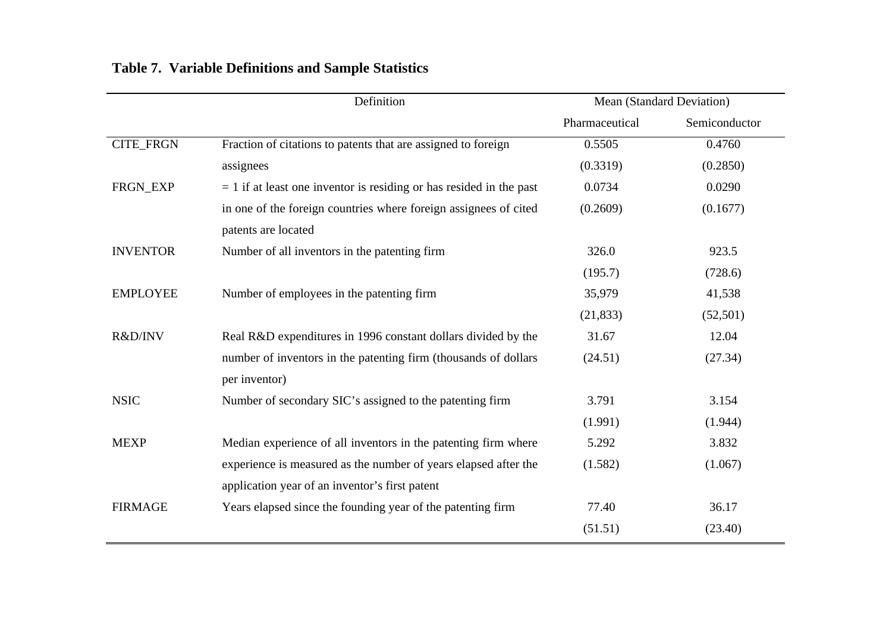|                  | Definition                                                            | Mean (Standard Deviation) |               |  |  |
|------------------|-----------------------------------------------------------------------|---------------------------|---------------|--|--|
|                  |                                                                       | Pharmaceutical            | Semiconductor |  |  |
| <b>CITE_FRGN</b> | Fraction of citations to patents that are assigned to foreign         | 0.5505                    | 0.4760        |  |  |
|                  | assignees                                                             | (0.3319)                  | (0.2850)      |  |  |
| FRGN_EXP         | $= 1$ if at least one inventor is residing or has resided in the past | 0.0734                    | 0.0290        |  |  |
|                  | in one of the foreign countries where foreign assignees of cited      | (0.2609)                  | (0.1677)      |  |  |
|                  | patents are located                                                   |                           |               |  |  |
| <b>INVENTOR</b>  | Number of all inventors in the patenting firm                         | 326.0                     | 923.5         |  |  |
|                  |                                                                       | (195.7)                   | (728.6)       |  |  |
| <b>EMPLOYEE</b>  | Number of employees in the patenting firm                             | 35,979                    | 41,538        |  |  |
|                  |                                                                       | (21, 833)                 | (52, 501)     |  |  |
| R&D/INV          | Real R&D expenditures in 1996 constant dollars divided by the         | 31.67                     | 12.04         |  |  |
|                  | number of inventors in the patenting firm (thousands of dollars       | (24.51)                   | (27.34)       |  |  |
|                  | per inventor)                                                         |                           |               |  |  |
| <b>NSIC</b>      | Number of secondary SIC's assigned to the patenting firm              | 3.791                     | 3.154         |  |  |
|                  |                                                                       | (1.991)                   | (1.944)       |  |  |
| <b>MEXP</b>      | Median experience of all inventors in the patenting firm where        | 5.292                     | 3.832         |  |  |
|                  | experience is measured as the number of years elapsed after the       | (1.582)                   | (1.067)       |  |  |
|                  | application year of an inventor's first patent                        |                           |               |  |  |
| <b>FIRMAGE</b>   | Years elapsed since the founding year of the patenting firm           | 77.40                     | 36.17         |  |  |
|                  |                                                                       | (51.51)                   | (23.40)       |  |  |

# **Table 7. Variable Definitions and Sample Statistics**